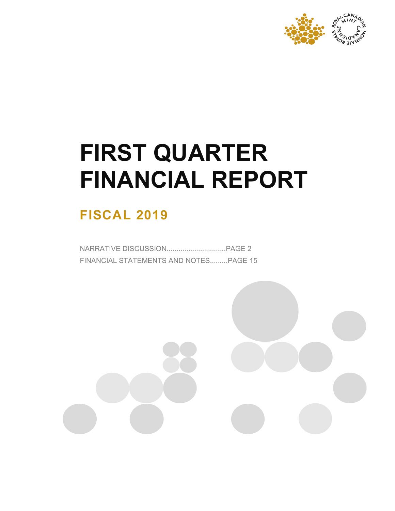

# **FIRST QUARTER FINANCIAL REPORT**

# **FISCAL 2019**

NARRATIVE DISCUSSION..............................PAGE 2 FINANCIAL STATEMENTS AND NOTES.........PAGE 15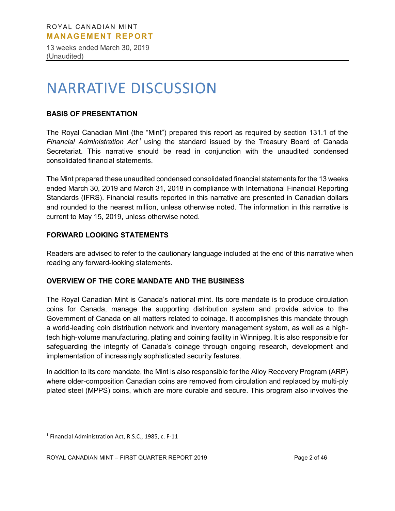13 weeks ended March 30, 2019 (Unaudited)

# NARRATIVE DISCUSSION

# **BASIS OF PRESENTATION**

The Royal Canadian Mint (the "Mint") prepared this report as required by section 131.1 of the *Financial Administration Act<sup>[1](#page-1-0)</sup>* using the standard issued by the Treasury Board of Canada Secretariat. This narrative should be read in conjunction with the unaudited condensed consolidated financial statements.

The Mint prepared these unaudited condensed consolidated financial statements for the 13 weeks ended March 30, 2019 and March 31, 2018 in compliance with International Financial Reporting Standards (IFRS). Financial results reported in this narrative are presented in Canadian dollars and rounded to the nearest million, unless otherwise noted. The information in this narrative is current to May 15, 2019, unless otherwise noted.

# **FORWARD LOOKING STATEMENTS**

Readers are advised to refer to the cautionary language included at the end of this narrative when reading any forward-looking statements.

# **OVERVIEW OF THE CORE MANDATE AND THE BUSINESS**

The Royal Canadian Mint is Canada's national mint. Its core mandate is to produce circulation coins for Canada, manage the supporting distribution system and provide advice to the Government of Canada on all matters related to coinage. It accomplishes this mandate through a world-leading coin distribution network and inventory management system, as well as a hightech high-volume manufacturing, plating and coining facility in Winnipeg. It is also responsible for safeguarding the integrity of Canada's coinage through ongoing research, development and implementation of increasingly sophisticated security features.

In addition to its core mandate, the Mint is also responsible for the Alloy Recovery Program (ARP) where older-composition Canadian coins are removed from circulation and replaced by multi-ply plated steel (MPPS) coins, which are more durable and secure. This program also involves the

 $\overline{a}$ 

<span id="page-1-0"></span><sup>1</sup> Financial Administration Act, R.S.C., 1985, c. F-11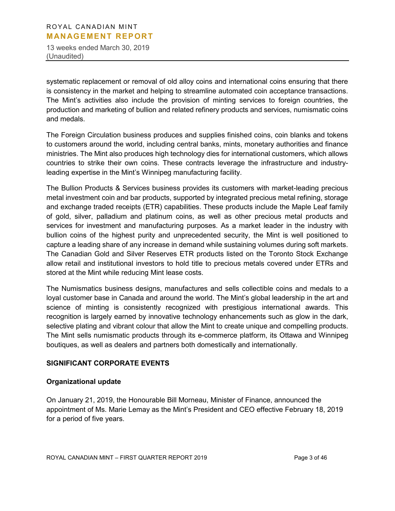13 weeks ended March 30, 2019 (Unaudited)

systematic replacement or removal of old alloy coins and international coins ensuring that there is consistency in the market and helping to streamline automated coin acceptance transactions. The Mint's activities also include the provision of minting services to foreign countries, the production and marketing of bullion and related refinery products and services, numismatic coins and medals.

The Foreign Circulation business produces and supplies finished coins, coin blanks and tokens to customers around the world, including central banks, mints, monetary authorities and finance ministries. The Mint also produces high technology dies for international customers, which allows countries to strike their own coins. These contracts leverage the infrastructure and industryleading expertise in the Mint's Winnipeg manufacturing facility.

The Bullion Products & Services business provides its customers with market-leading precious metal investment coin and bar products, supported by integrated precious metal refining, storage and exchange traded receipts (ETR) capabilities. These products include the Maple Leaf family of gold, silver, palladium and platinum coins, as well as other precious metal products and services for investment and manufacturing purposes. As a market leader in the industry with bullion coins of the highest purity and unprecedented security, the Mint is well positioned to capture a leading share of any increase in demand while sustaining volumes during soft markets. The Canadian Gold and Silver Reserves ETR products listed on the Toronto Stock Exchange allow retail and institutional investors to hold title to precious metals covered under ETRs and stored at the Mint while reducing Mint lease costs.

The Numismatics business designs, manufactures and sells collectible coins and medals to a loyal customer base in Canada and around the world. The Mint's global leadership in the art and science of minting is consistently recognized with prestigious international awards. This recognition is largely earned by innovative technology enhancements such as glow in the dark, selective plating and vibrant colour that allow the Mint to create unique and compelling products. The Mint sells numismatic products through its e-commerce platform, its Ottawa and Winnipeg boutiques, as well as dealers and partners both domestically and internationally.

# **SIGNIFICANT CORPORATE EVENTS**

# **Organizational update**

On January 21, 2019, the Honourable Bill Morneau, Minister of Finance, announced the appointment of Ms. Marie Lemay as the Mint's President and CEO effective February 18, 2019 for a period of five years.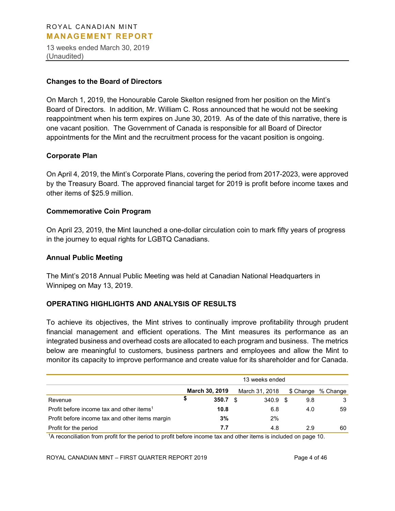13 weeks ended March 30, 2019 (Unaudited)

#### **Changes to the Board of Directors**

On March 1, 2019, the Honourable Carole Skelton resigned from her position on the Mint's Board of Directors. In addition, Mr. William C. Ross announced that he would not be seeking reappointment when his term expires on June 30, 2019. As of the date of this narrative, there is one vacant position. The Government of Canada is responsible for all Board of Director appointments for the Mint and the recruitment process for the vacant position is ongoing.

#### **Corporate Plan**

On April 4, 2019, the Mint's Corporate Plans, covering the period from 2017-2023, were approved by the Treasury Board. The approved financial target for 2019 is profit before income taxes and other items of \$25.9 million.

#### **Commemorative Coin Program**

On April 23, 2019, the Mint launched a one-dollar circulation coin to mark fifty years of progress in the journey to equal rights for LGBTQ Canadians.

#### **Annual Public Meeting**

The Mint's 2018 Annual Public Meeting was held at Canadian National Headquarters in Winnipeg on May 13, 2019.

# **OPERATING HIGHLIGHTS AND ANALYSIS OF RESULTS**

To achieve its objectives, the Mint strives to continually improve profitability through prudent financial management and efficient operations. The Mint measures its performance as an integrated business and overhead costs are allocated to each program and business. The metrics below are meaningful to customers, business partners and employees and allow the Mint to monitor its capacity to improve performance and create value for its shareholder and for Canada.

|                                                       | 13 weeks ended |                       |  |                |   |     |                    |  |
|-------------------------------------------------------|----------------|-----------------------|--|----------------|---|-----|--------------------|--|
|                                                       |                | <b>March 30, 2019</b> |  | March 31, 2018 |   |     | \$ Change % Change |  |
| Revenue                                               | \$             | 350.7                 |  | 340.9          | S | 9.8 | 3                  |  |
| Profit before income tax and other items <sup>1</sup> |                | 10.8                  |  | 6.8            |   | 4.0 | 59                 |  |
| Profit before income tax and other items margin       |                | 3%                    |  | 2%             |   |     |                    |  |
| Profit for the period                                 |                | 7.7                   |  | 4.8            |   | 29  | 60                 |  |

1A reconciliation from profit for the period to profit before income tax and other items is included on page 10.

ROYAL CANADIAN MINT – FIRST QUARTER REPORT 2019 Page 4 of 46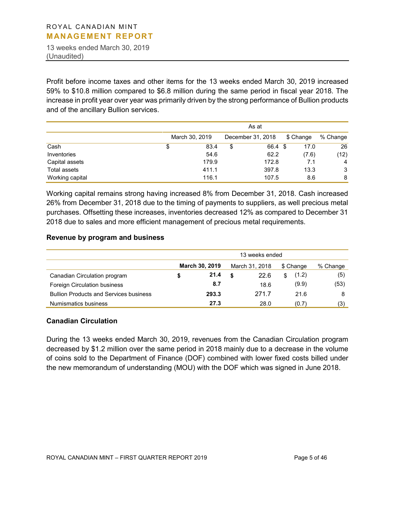13 weeks ended March 30, 2019 (Unaudited)

Profit before income taxes and other items for the 13 weeks ended March 30, 2019 increased 59% to \$10.8 million compared to \$6.8 million during the same period in fiscal year 2018. The increase in profit year over year was primarily driven by the strong performance of Bullion products and of the ancillary Bullion services.

|                 | As at |                |    |                   |           |                |  |  |
|-----------------|-------|----------------|----|-------------------|-----------|----------------|--|--|
|                 |       | March 30, 2019 |    | December 31, 2018 | \$ Change | % Change       |  |  |
| Cash            | \$    | 83.4           | \$ | 66.4 \$           | 17.0      | 26             |  |  |
| Inventories     |       | 54.6           |    | 62.2              | (7.6)     | (12)           |  |  |
| Capital assets  |       | 179.9          |    | 172.8             | 7.1       | $\overline{4}$ |  |  |
| Total assets    |       | 411.1          |    | 397.8             | 13.3      | 3              |  |  |
| Working capital |       | 116.1          |    | 107.5             | 8.6       | 8              |  |  |

Working capital remains strong having increased 8% from December 31, 2018. Cash increased 26% from December 31, 2018 due to the timing of payments to suppliers, as well precious metal purchases. Offsetting these increases, inventories decreased 12% as compared to December 31 2018 due to sales and more efficient management of precious metal requirements.

#### **Revenue by program and business**

|                                               | 13 weeks ended |                |    |                |    |           |          |  |
|-----------------------------------------------|----------------|----------------|----|----------------|----|-----------|----------|--|
|                                               |                | March 30, 2019 |    | March 31, 2018 |    | \$ Change | % Change |  |
| Canadian Circulation program                  |                | 21.4           | \$ | 22.6           | \$ | (1.2)     | (5)      |  |
| Foreign Circulation business                  |                | 8.7            |    | 18.6           |    | (9.9)     | (53)     |  |
| <b>Bullion Products and Services business</b> |                | 293.3          |    | 271.7          |    | 21.6      | 8        |  |
| Numismatics business                          |                | 27.3           |    | 28.0           |    | (0.7)     | (3)      |  |

# **Canadian Circulation**

During the 13 weeks ended March 30, 2019, revenues from the Canadian Circulation program decreased by \$1.2 million over the same period in 2018 mainly due to a decrease in the volume of coins sold to the Department of Finance (DOF) combined with lower fixed costs billed under the new memorandum of understanding (MOU) with the DOF which was signed in June 2018.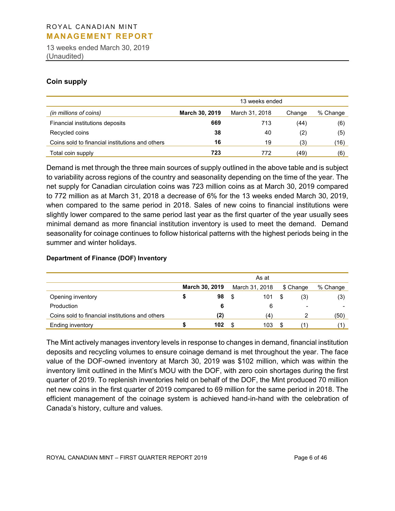13 weeks ended March 30, 2019 (Unaudited)

# **Coin supply**

|                                                 | 13 weeks ended        |                |        |          |  |  |  |  |
|-------------------------------------------------|-----------------------|----------------|--------|----------|--|--|--|--|
| (in millions of coins)                          | <b>March 30, 2019</b> | March 31, 2018 | Change | % Change |  |  |  |  |
| Financial institutions deposits                 | 669                   | 713            | (44)   | (6)      |  |  |  |  |
| Recycled coins                                  | 38                    | 40             | (2)    | (5)      |  |  |  |  |
| Coins sold to financial institutions and others | 16                    | 19             | (3)    | (16)     |  |  |  |  |
| Total coin supply                               | 723                   | 772            | (49)   | (6)      |  |  |  |  |

Demand is met through the three main sources of supply outlined in the above table and is subject to variability across regions of the country and seasonality depending on the time of the year. The net supply for Canadian circulation coins was 723 million coins as at March 30, 2019 compared to 772 million as at March 31, 2018 a decrease of 6% for the 13 weeks ended March 30, 2019, when compared to the same period in 2018. Sales of new coins to financial institutions were slightly lower compared to the same period last year as the first quarter of the year usually sees minimal demand as more financial institution inventory is used to meet the demand. Demand seasonality for coinage continues to follow historical patterns with the highest periods being in the summer and winter holidays.

#### **Department of Finance (DOF) Inventory**

|                                                 |                |      | As at          |   |                          |          |
|-------------------------------------------------|----------------|------|----------------|---|--------------------------|----------|
|                                                 | March 30, 2019 |      | March 31, 2018 |   | \$ Change                | % Change |
| Opening inventory                               | 98             | - \$ | 101            | S | (3)                      | (3)      |
| Production                                      |                |      |                |   | $\overline{\phantom{a}}$ | -        |
| Coins sold to financial institutions and others | (2)            |      | (4)            |   |                          | (50)     |
| Ending inventory                                | 102            |      | 103            | S |                          |          |

The Mint actively manages inventory levels in response to changes in demand, financial institution deposits and recycling volumes to ensure coinage demand is met throughout the year. The face value of the DOF-owned inventory at March 30, 2019 was \$102 million, which was within the inventory limit outlined in the Mint's MOU with the DOF, with zero coin shortages during the first quarter of 2019. To replenish inventories held on behalf of the DOF, the Mint produced 70 million net new coins in the first quarter of 2019 compared to 69 million for the same period in 2018. The efficient management of the coinage system is achieved hand-in-hand with the celebration of Canada's history, culture and values.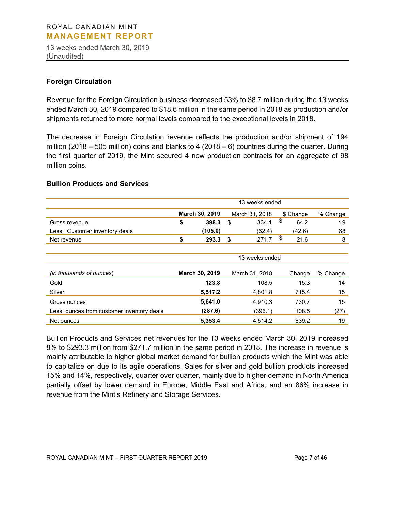13 weeks ended March 30, 2019 (Unaudited)

# **Foreign Circulation**

Revenue for the Foreign Circulation business decreased 53% to \$8.7 million during the 13 weeks ended March 30, 2019 compared to \$18.6 million in the same period in 2018 as production and/or shipments returned to more normal levels compared to the exceptional levels in 2018.

The decrease in Foreign Circulation revenue reflects the production and/or shipment of 194 million (2018 – 505 million) coins and blanks to 4 (2018 – 6) countries during the quarter. During the first quarter of 2019, the Mint secured 4 new production contracts for an aggregate of 98 million coins.

#### **Bullion Products and Services**

|                                            |                |                | 13 weeks ended |    |           |          |
|--------------------------------------------|----------------|----------------|----------------|----|-----------|----------|
|                                            | March 30, 2019 |                | March 31, 2018 |    | \$ Change | % Change |
| Gross revenue                              | \$<br>398.3    | \$             | 334.1          | \$ | 64.2      | 19       |
| Less: Customer inventory deals             | (105.0)        |                | (62.4)         |    | (42.6)    | 68       |
| Net revenue                                | \$<br>293.3    | -\$            | 271.7          | \$ | 21.6      | 8        |
|                                            |                |                |                |    |           |          |
|                                            |                |                | 13 weeks ended |    |           |          |
| (in thousands of ounces)                   | March 30, 2019 | March 31, 2018 |                |    | Change    | % Change |
| Gold                                       | 123.8          |                | 108.5          |    | 15.3      | 14       |
| Silver                                     | 5,517.2        |                | 4,801.8        |    | 715.4     | 15       |
| Gross ounces                               | 5,641.0        |                | 4,910.3        |    | 730.7     | 15       |
| Less: ounces from customer inventory deals | (287.6)        |                | (396.1)        |    | 108.5     | (27)     |
| Net ounces                                 | 5,353.4        |                | 4.514.2        |    | 839.2     | 19       |

Bullion Products and Services net revenues for the 13 weeks ended March 30, 2019 increased 8% to \$293.3 million from \$271.7 million in the same period in 2018. The increase in revenue is mainly attributable to higher global market demand for bullion products which the Mint was able to capitalize on due to its agile operations. Sales for silver and gold bullion products increased 15% and 14%, respectively, quarter over quarter, mainly due to higher demand in North America partially offset by lower demand in Europe, Middle East and Africa, and an 86% increase in revenue from the Mint's Refinery and Storage Services.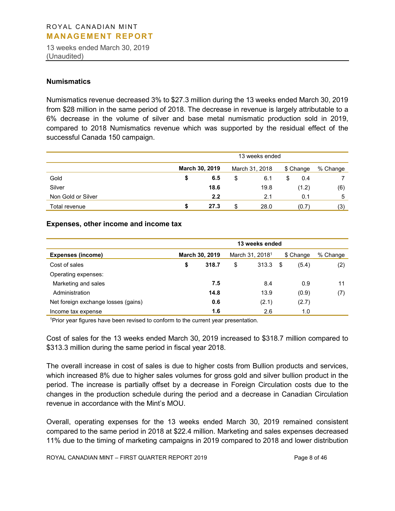13 weeks ended March 30, 2019 (Unaudited)

#### **Numismatics**

Numismatics revenue decreased 3% to \$27.3 million during the 13 weeks ended March 30, 2019 from \$28 million in the same period of 2018. The decrease in revenue is largely attributable to a 6% decrease in the volume of silver and base metal numismatic production sold in 2019, compared to 2018 Numismatics revenue which was supported by the residual effect of the successful Canada 150 campaign.

|                    | 13 weeks ended |                       |    |                |           |          |  |  |
|--------------------|----------------|-----------------------|----|----------------|-----------|----------|--|--|
|                    |                | <b>March 30, 2019</b> |    | March 31, 2018 | \$ Change | % Change |  |  |
| Gold               | \$             | 6.5                   | \$ | 6.1            | \$<br>0.4 |          |  |  |
| Silver             |                | 18.6                  |    | 19.8           | (1.2)     | (6)      |  |  |
| Non Gold or Silver |                | 2.2                   |    | 2.1            | 0.1       | 5        |  |  |
| Total revenue      | æ              | 27.3                  | S  | 28.0           | (0.7)     | (3)      |  |  |

#### **Expenses, other income and income tax**

|                                     | 13 weeks ended |       |                             |       |           |       |          |
|-------------------------------------|----------------|-------|-----------------------------|-------|-----------|-------|----------|
| <b>Expenses (income)</b>            | March 30, 2019 |       | March 31, 2018 <sup>1</sup> |       | \$ Change |       | % Change |
| Cost of sales                       | \$             | 318.7 | \$                          | 313.3 | -\$       | (5.4) | (2)      |
| Operating expenses:                 |                |       |                             |       |           |       |          |
| Marketing and sales                 |                | 7.5   |                             | 8.4   |           | 0.9   | 11       |
| Administration                      |                | 14.8  |                             | 13.9  |           | (0.9) | (7)      |
| Net foreign exchange losses (gains) |                | 0.6   |                             | (2.1) |           | (2.7) |          |
| Income tax expense                  |                | 1.6   |                             | 2.6   |           | 1.0   |          |

<sup>1</sup>Prior year figures have been revised to conform to the current year presentation.

Cost of sales for the 13 weeks ended March 30, 2019 increased to \$318.7 million compared to \$313.3 million during the same period in fiscal year 2018.

The overall increase in cost of sales is due to higher costs from Bullion products and services, which increased 8% due to higher sales volumes for gross gold and silver bullion product in the period. The increase is partially offset by a decrease in Foreign Circulation costs due to the changes in the production schedule during the period and a decrease in Canadian Circulation revenue in accordance with the Mint's MOU.

Overall, operating expenses for the 13 weeks ended March 30, 2019 remained consistent compared to the same period in 2018 at \$22.4 million. Marketing and sales expenses decreased 11% due to the timing of marketing campaigns in 2019 compared to 2018 and lower distribution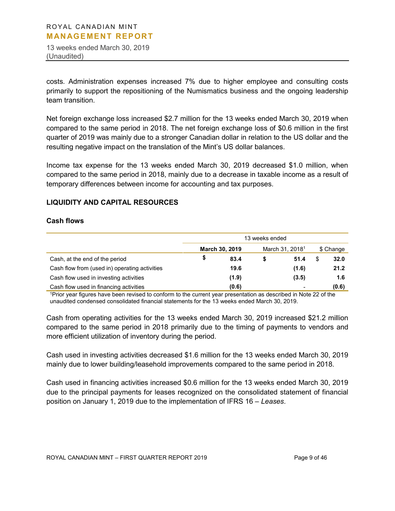13 weeks ended March 30, 2019 (Unaudited)

costs. Administration expenses increased 7% due to higher employee and consulting costs primarily to support the repositioning of the Numismatics business and the ongoing leadership team transition.

Net foreign exchange loss increased \$2.7 million for the 13 weeks ended March 30, 2019 when compared to the same period in 2018. The net foreign exchange loss of \$0.6 million in the first quarter of 2019 was mainly due to a stronger Canadian dollar in relation to the US dollar and the resulting negative impact on the translation of the Mint's US dollar balances.

Income tax expense for the 13 weeks ended March 30, 2019 decreased \$1.0 million, when compared to the same period in 2018, mainly due to a decrease in taxable income as a result of temporary differences between income for accounting and tax purposes.

# **LIQUIDITY AND CAPITAL RESOURCES**

#### **Cash flows**

|                                               | 13 weeks ended |                       |   |                             |  |           |  |
|-----------------------------------------------|----------------|-----------------------|---|-----------------------------|--|-----------|--|
|                                               |                | <b>March 30, 2019</b> |   | March 31, 2018 <sup>1</sup> |  | \$ Change |  |
| Cash, at the end of the period                | S              | 83.4                  | S | 51.4                        |  | 32.0      |  |
| Cash flow from (used in) operating activities |                | 19.6                  |   | (1.6)                       |  | 21.2      |  |
| Cash flow used in investing activities        |                | (1.9)                 |   | (3.5)                       |  | 1.6       |  |
| Cash flow used in financing activities        |                | (0.6)                 |   |                             |  | (0.6)     |  |

1Prior year figures have been revised to conform to the current year presentation as described in Note 22 of the unaudited condensed consolidated financial statements for the 13 weeks ended March 30, 2019.

Cash from operating activities for the 13 weeks ended March 30, 2019 increased \$21.2 million compared to the same period in 2018 primarily due to the timing of payments to vendors and more efficient utilization of inventory during the period.

Cash used in investing activities decreased \$1.6 million for the 13 weeks ended March 30, 2019 mainly due to lower building/leasehold improvements compared to the same period in 2018.

Cash used in financing activities increased \$0.6 million for the 13 weeks ended March 30, 2019 due to the principal payments for leases recognized on the consolidated statement of financial position on January 1, 2019 due to the implementation of IFRS 16 – *Leases*.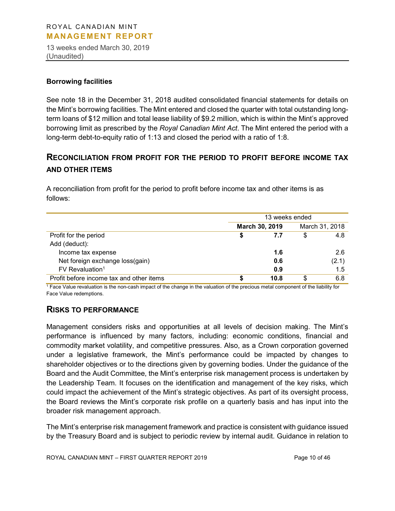13 weeks ended March 30, 2019 (Unaudited)

#### **Borrowing facilities**

See note 18 in the December 31, 2018 audited consolidated financial statements for details on the Mint's borrowing facilities. The Mint entered and closed the quarter with total outstanding longterm loans of \$12 million and total lease liability of \$9.2 million, which is within the Mint's approved borrowing limit as prescribed by the *Royal Canadian Mint Act*. The Mint entered the period with a long-term debt-to-equity ratio of 1:13 and closed the period with a ratio of 1:8.

# **RECONCILIATION FROM PROFIT FOR THE PERIOD TO PROFIT BEFORE INCOME TAX AND OTHER ITEMS**

A reconciliation from profit for the period to profit before income tax and other items is as follows:

|                                          | 13 weeks ended |                |                |       |  |  |
|------------------------------------------|----------------|----------------|----------------|-------|--|--|
|                                          |                | March 30, 2019 | March 31, 2018 |       |  |  |
| Profit for the period                    | S              | 7.7            | S              | 4.8   |  |  |
| Add (deduct):                            |                |                |                |       |  |  |
| Income tax expense                       |                | 1.6            |                | 2.6   |  |  |
| Net foreign exchange loss(gain)          |                | 0.6            |                | (2.1) |  |  |
| $FV$ Revaluation <sup>1</sup>            |                | 0.9            |                | 1.5   |  |  |
| Profit before income tax and other items | S              | 10.8           | \$             | 6.8   |  |  |

<sup>1</sup> Face Value revaluation is the non-cash impact of the change in the valuation of the precious metal component of the liability for Face Value redemptions.

# **RISKS TO PERFORMANCE**

Management considers risks and opportunities at all levels of decision making. The Mint's performance is influenced by many factors, including: economic conditions, financial and commodity market volatility, and competitive pressures. Also, as a Crown corporation governed under a legislative framework, the Mint's performance could be impacted by changes to shareholder objectives or to the directions given by governing bodies. Under the guidance of the Board and the Audit Committee, the Mint's enterprise risk management process is undertaken by the Leadership Team. It focuses on the identification and management of the key risks, which could impact the achievement of the Mint's strategic objectives. As part of its oversight process, the Board reviews the Mint's corporate risk profile on a quarterly basis and has input into the broader risk management approach.

The Mint's enterprise risk management framework and practice is consistent with guidance issued by the Treasury Board and is subject to periodic review by internal audit. Guidance in relation to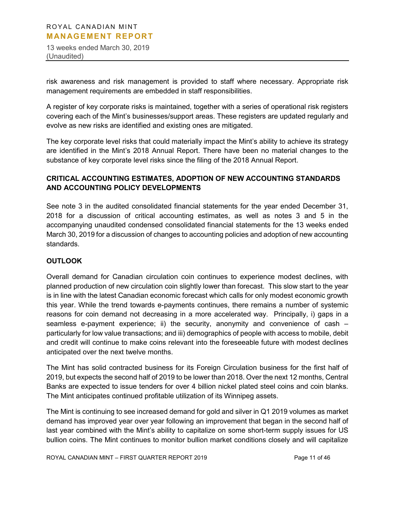13 weeks ended March 30, 2019 (Unaudited)

risk awareness and risk management is provided to staff where necessary. Appropriate risk management requirements are embedded in staff responsibilities.

A register of key corporate risks is maintained, together with a series of operational risk registers covering each of the Mint's businesses/support areas. These registers are updated regularly and evolve as new risks are identified and existing ones are mitigated.

The key corporate level risks that could materially impact the Mint's ability to achieve its strategy are identified in the Mint's 2018 Annual Report. There have been no material changes to the substance of key corporate level risks since the filing of the 2018 Annual Report.

# **CRITICAL ACCOUNTING ESTIMATES, ADOPTION OF NEW ACCOUNTING STANDARDS AND ACCOUNTING POLICY DEVELOPMENTS**

See note 3 in the audited consolidated financial statements for the year ended December 31, 2018 for a discussion of critical accounting estimates, as well as notes 3 and 5 in the accompanying unaudited condensed consolidated financial statements for the 13 weeks ended March 30, 2019 for a discussion of changes to accounting policies and adoption of new accounting standards.

# **OUTLOOK**

Overall demand for Canadian circulation coin continues to experience modest declines, with planned production of new circulation coin slightly lower than forecast. This slow start to the year is in line with the latest Canadian economic forecast which calls for only modest economic growth this year. While the trend towards e-payments continues, there remains a number of systemic reasons for coin demand not decreasing in a more accelerated way. Principally, i) gaps in a seamless e-payment experience; ii) the security, anonymity and convenience of cash – particularly for low value transactions; and iii) demographics of people with access to mobile, debit and credit will continue to make coins relevant into the foreseeable future with modest declines anticipated over the next twelve months.

The Mint has solid contracted business for its Foreign Circulation business for the first half of 2019, but expects the second half of 2019 to be lower than 2018. Over the next 12 months, Central Banks are expected to issue tenders for over 4 billion nickel plated steel coins and coin blanks. The Mint anticipates continued profitable utilization of its Winnipeg assets.

The Mint is continuing to see increased demand for gold and silver in Q1 2019 volumes as market demand has improved year over year following an improvement that began in the second half of last year combined with the Mint's ability to capitalize on some short-term supply issues for US bullion coins. The Mint continues to monitor bullion market conditions closely and will capitalize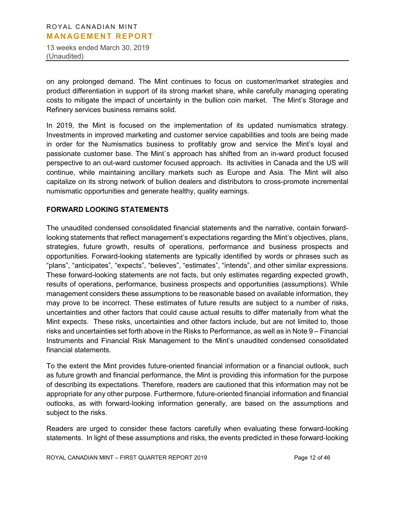13 weeks ended March 30, 2019 (Unaudited)

on any prolonged demand. The Mint continues to focus on customer/market strategies and product differentiation in support of its strong market share, while carefully managing operating costs to mitigate the impact of uncertainty in the bullion coin market. The Mint's Storage and Refinery services business remains solid.

In 2019, the Mint is focused on the implementation of its updated numismatics strategy. Investments in improved marketing and customer service capabilities and tools are being made in order for the Numismatics business to profitably grow and service the Mint's loyal and passionate customer base. The Mint`s approach has shifted from an in-ward product focused perspective to an out-ward customer focused approach. Its activities in Canada and the US will continue, while maintaining ancillary markets such as Europe and Asia. The Mint will also capitalize on its strong network of bullion dealers and distributors to cross-promote incremental numismatic opportunities and generate healthy, quality earnings.

# **FORWARD LOOKING STATEMENTS**

The unaudited condensed consolidated financial statements and the narrative, contain forwardlooking statements that reflect management's expectations regarding the Mint's objectives, plans, strategies, future growth, results of operations, performance and business prospects and opportunities. Forward-looking statements are typically identified by words or phrases such as "plans", "anticipates", "expects", "believes", "estimates", "intends", and other similar expressions. These forward-looking statements are not facts, but only estimates regarding expected growth, results of operations, performance, business prospects and opportunities (assumptions). While management considers these assumptions to be reasonable based on available information, they may prove to be incorrect. These estimates of future results are subject to a number of risks, uncertainties and other factors that could cause actual results to differ materially from what the Mint expects. These risks, uncertainties and other factors include, but are not limited to, those risks and uncertainties set forth above in the Risks to Performance, as well as in Note 9 – Financial Instruments and Financial Risk Management to the Mint's unaudited condensed consolidated financial statements.

To the extent the Mint provides future-oriented financial information or a financial outlook, such as future growth and financial performance, the Mint is providing this information for the purpose of describing its expectations. Therefore, readers are cautioned that this information may not be appropriate for any other purpose. Furthermore, future-oriented financial information and financial outlooks, as with forward-looking information generally, are based on the assumptions and subject to the risks.

Readers are urged to consider these factors carefully when evaluating these forward-looking statements. In light of these assumptions and risks, the events predicted in these forward-looking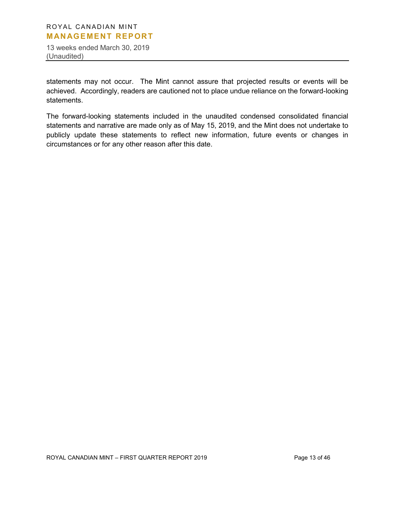13 weeks ended March 30, 2019 (Unaudited)

statements may not occur. The Mint cannot assure that projected results or events will be achieved. Accordingly, readers are cautioned not to place undue reliance on the forward-looking statements.

The forward-looking statements included in the unaudited condensed consolidated financial statements and narrative are made only as of May 15, 2019, and the Mint does not undertake to publicly update these statements to reflect new information, future events or changes in circumstances or for any other reason after this date.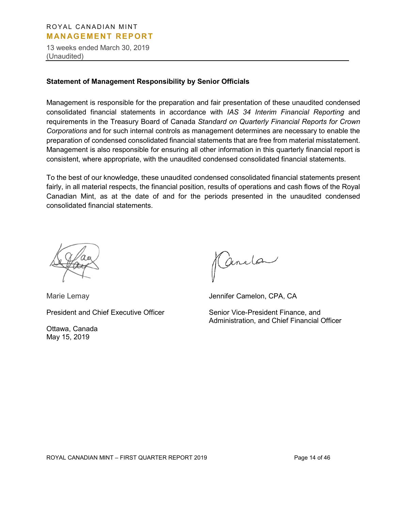13 weeks ended March 30, 2019 (Unaudited)

#### **Statement of Management Responsibility by Senior Officials**

Management is responsible for the preparation and fair presentation of these unaudited condensed consolidated financial statements in accordance with *IAS 34 Interim Financial Reporting* and requirements in the Treasury Board of Canada *Standard on Quarterly Financial Reports for Crown Corporations* and for such internal controls as management determines are necessary to enable the preparation of condensed consolidated financial statements that are free from material misstatement. Management is also responsible for ensuring all other information in this quarterly financial report is consistent, where appropriate, with the unaudited condensed consolidated financial statements.

To the best of our knowledge, these unaudited condensed consolidated financial statements present fairly, in all material respects, the financial position, results of operations and cash flows of the Royal Canadian Mint, as at the date of and for the periods presented in the unaudited condensed consolidated financial statements.



Marie Lemay Jennifer Camelon, CPA, CA

Ottawa, Canada May 15, 2019

Cenela

President and Chief Executive Officer Senior Vice-President Finance, and Administration, and Chief Financial Officer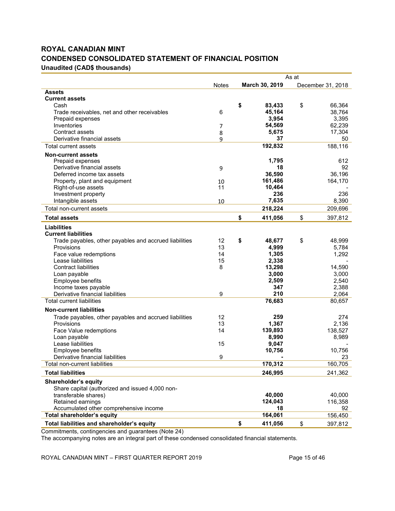# **ROYAL CANADIAN MINT CONDENSED CONSOLIDATED STATEMENT OF FINANCIAL POSITION Unaudited (CAD\$ thousands)**

|                                                        | As at        |    |                |    |                   |
|--------------------------------------------------------|--------------|----|----------------|----|-------------------|
|                                                        | <b>Notes</b> |    | March 30, 2019 |    | December 31, 2018 |
| <b>Assets</b>                                          |              |    |                |    |                   |
| <b>Current assets</b>                                  |              |    |                |    |                   |
| Cash                                                   |              | \$ | 83,433         | \$ | 66,364            |
| Trade receivables, net and other receivables           | 6            |    | 45,164         |    | 38,764            |
| Prepaid expenses                                       |              |    | 3,954          |    | 3,395             |
| Inventories                                            | 7            |    | 54,569         |    | 62,239            |
| Contract assets                                        | 8            |    | 5,675          |    | 17,304            |
| Derivative financial assets                            | 9            |    | 37             |    | 50                |
| Total current assets                                   |              |    | 192,832        |    | 188,116           |
| <b>Non-current assets</b>                              |              |    |                |    |                   |
| Prepaid expenses                                       |              |    | 1,795          |    | 612               |
| Derivative financial assets                            | 9            |    | 18             |    | 92                |
| Deferred income tax assets                             |              |    | 36,590         |    | 36,196            |
| Property, plant and equipment                          | 10           |    | 161,486        |    | 164,170           |
| Right-of-use assets                                    | 11           |    | 10,464         |    |                   |
| Investment property                                    |              |    | 236            |    | 236               |
| Intangible assets                                      | 10           |    | 7,635          |    | 8,390             |
| Total non-current assets                               |              |    | 218,224        |    | 209,696           |
| <b>Total assets</b>                                    |              | \$ | 411,056        | \$ | 397,812           |
| <b>Liabilities</b>                                     |              |    |                |    |                   |
| <b>Current liabilities</b>                             |              |    |                |    |                   |
| Trade payables, other payables and accrued liabilities | 12           | \$ | 48,677         | \$ | 48,999            |
| Provisions                                             | 13           |    | 4,999          |    | 5,784             |
| Face value redemptions                                 | 14           |    | 1,305          |    | 1,292             |
| Lease liabilities                                      | 15           |    | 2,338          |    |                   |
| <b>Contract liabilities</b>                            | 8            |    | 13,298         |    | 14,590            |
| Loan payable                                           |              |    | 3,000          |    | 3,000             |
| Employee benefits                                      |              |    | 2,509          |    | 2,540             |
| Income taxes payable                                   |              |    | 347            |    | 2,388             |
| Derivative financial liabilities                       | 9            |    | 210            |    | 2,064             |
| <b>Total current liabilities</b>                       |              |    | 76,683         |    | 80,657            |
| <b>Non-current liabilities</b>                         |              |    |                |    |                   |
| Trade payables, other payables and accrued liabilities | 12           |    | 259            |    | 274               |
| Provisions                                             | 13           |    | 1,367          |    | 2,136             |
| Face Value redemptions                                 | 14           |    | 139,893        |    | 138,527           |
| Loan payable                                           |              |    | 8,990          |    | 8,989             |
| Lease liabilities                                      | 15           |    | 9,047          |    |                   |
| Employee benefits                                      |              |    | 10,756         |    | 10,756            |
| Derivative financial liabilities                       | 9            |    |                |    | 23                |
| Total non-current liabilities                          |              |    | 170,312        |    | 160,705           |
| <b>Total liabilities</b>                               |              |    | 246,995        |    | 241,362           |
| <b>Shareholder's equity</b>                            |              |    |                |    |                   |
| Share capital (authorized and issued 4,000 non-        |              |    |                |    |                   |
| transferable shares)                                   |              |    | 40,000         |    | 40,000            |
| Retained earnings                                      |              |    | 124,043        |    | 116,358           |
| Accumulated other comprehensive income                 |              |    | 18             |    | 92                |
| <b>Total shareholder's equity</b>                      |              |    | 164,061        |    | 156,450           |
| Total liabilities and shareholder's equity             |              | \$ | 411,056        | \$ | 397,812           |

Commitments, contingencies and guarantees (Note 24)

The accompanying notes are an integral part of these condensed consolidated financial statements.

ROYAL CANADIAN MINT – FIRST QUARTER REPORT 2019 Page 15 of 46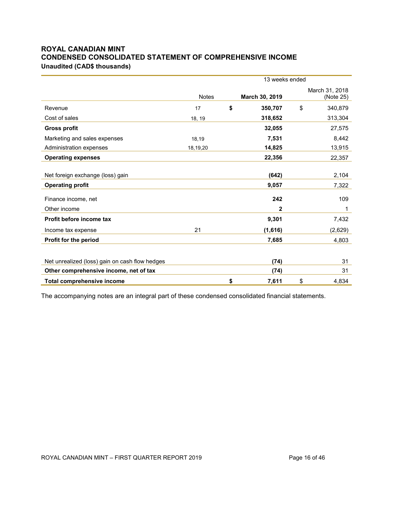# **ROYAL CANADIAN MINT CONDENSED CONSOLIDATED STATEMENT OF COMPREHENSIVE INCOME Unaudited (CAD\$ thousands)**

|                                                             | 13 weeks ended |    |                |                             |  |  |  |
|-------------------------------------------------------------|----------------|----|----------------|-----------------------------|--|--|--|
|                                                             | <b>Notes</b>   |    | March 30, 2019 | March 31, 2018<br>(Note 25) |  |  |  |
| Revenue                                                     | 17             | \$ | 350,707        | \$<br>340,879               |  |  |  |
| Cost of sales                                               | 18, 19         |    | 318,652        | 313,304                     |  |  |  |
| <b>Gross profit</b>                                         |                |    | 32,055         | 27,575                      |  |  |  |
| Marketing and sales expenses                                | 18,19          |    | 7,531          | 8,442                       |  |  |  |
| Administration expenses                                     | 18,19,20       |    | 14,825         | 13,915                      |  |  |  |
| <b>Operating expenses</b>                                   |                |    | 22,356         | 22,357                      |  |  |  |
| Net foreign exchange (loss) gain<br><b>Operating profit</b> |                |    | (642)<br>9,057 | 2,104<br>7,322              |  |  |  |
| Finance income, net                                         |                |    | 242            | 109                         |  |  |  |
| Other income                                                |                |    | 2              | 1                           |  |  |  |
| Profit before income tax                                    |                |    | 9,301          | 7,432                       |  |  |  |
| Income tax expense                                          | 21             |    | (1,616)        | (2,629)                     |  |  |  |
| Profit for the period                                       |                |    | 7,685          | 4,803                       |  |  |  |
|                                                             |                |    |                |                             |  |  |  |
| Net unrealized (loss) gain on cash flow hedges              |                |    | (74)           | 31                          |  |  |  |
| Other comprehensive income, net of tax                      |                |    | (74)           | 31                          |  |  |  |
| <b>Total comprehensive income</b>                           |                | \$ | 7,611          | \$<br>4,834                 |  |  |  |

The accompanying notes are an integral part of these condensed consolidated financial statements.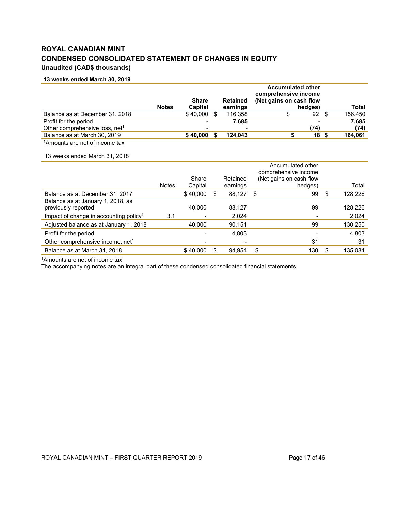# **ROYAL CANADIAN MINT CONDENSED CONSOLIDATED STATEMENT OF CHANGES IN EQUITY Unaudited (CAD\$ thousands)**

#### **13 weeks ended March 30, 2019**

|                                                |              | <b>Share</b> |      | <b>Retained</b> | <b>Accumulated other</b><br>comprehensive income<br>(Net gains on cash flow |       |         |
|------------------------------------------------|--------------|--------------|------|-----------------|-----------------------------------------------------------------------------|-------|---------|
|                                                | <b>Notes</b> | Capital      |      | earnings        | hedges)                                                                     |       | Total   |
| Balance as at December 31, 2018                |              | \$40,000     | - \$ | 116.358         | S                                                                           | 92    | 156,450 |
| Profit for the period                          |              |              |      | 7.685           |                                                                             | -     | 7,685   |
| Other comprehensive loss, net <sup>1</sup>     |              |              |      |                 |                                                                             | (74)  | (74)    |
| Balance as at March 30, 2019                   |              | \$40,000     |      | 124.043         |                                                                             | 18 \$ | 164,061 |
| 1 April 1945 - The product of the concept form |              |              |      |                 |                                                                             |       |         |

1Amounts are net of income tax

#### 13 weeks ended March 31, 2018

|                                                          |              |          |   |          | Accumulated other<br>comprehensive income |     |         |
|----------------------------------------------------------|--------------|----------|---|----------|-------------------------------------------|-----|---------|
|                                                          |              | Share    |   | Retained | (Net gains on cash flow                   |     |         |
|                                                          | <b>Notes</b> | Capital  |   | earnings | hedges)                                   |     | Total   |
| Balance as at December 31, 2017                          |              | \$40,000 | S | 88,127   | 99<br>S                                   | \$. | 128,226 |
| Balance as at January 1, 2018, as<br>previously reported |              | 40.000   |   | 88.127   | 99                                        |     | 128,226 |
| Impact of change in accounting policy <sup>1</sup>       | 3.1          | ۳        |   | 2,024    |                                           |     | 2,024   |
| Adjusted balance as at January 1, 2018                   |              | 40.000   |   | 90.151   | 99                                        |     | 130,250 |
| Profit for the period                                    |              |          |   | 4,803    |                                           |     | 4,803   |
| Other comprehensive income, net <sup>1</sup>             |              |          |   |          | 31                                        |     | 31      |
| Balance as at March 31, 2018                             |              | \$40.000 |   | 94.954   | \$<br>130                                 |     | 135,084 |

1Amounts are net of income tax

The accompanying notes are an integral part of these condensed consolidated financial statements.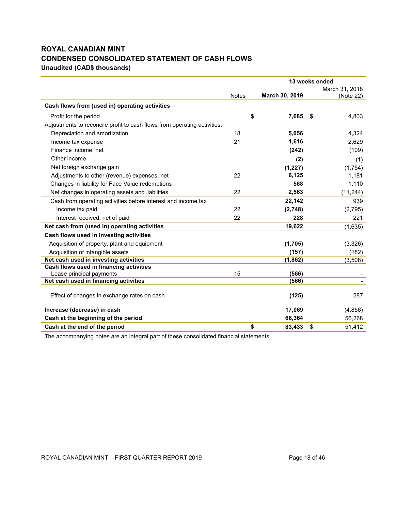# **ROYAL CANADIAN MINT CONDENSED CONSOLIDATED STATEMENT OF CASH FLOWS Unaudited (CAD\$ thousands)**

|                                                                          |              | 13 weeks ended |     |                |
|--------------------------------------------------------------------------|--------------|----------------|-----|----------------|
|                                                                          |              |                |     | March 31, 2018 |
|                                                                          | <b>Notes</b> | March 30, 2019 |     | (Note 22)      |
| Cash flows from (used in) operating activities                           |              |                |     |                |
| Profit for the period                                                    | \$           | 7,685          | -\$ | 4,803          |
| Adjustments to reconcile profit to cash flows from operating activities: |              |                |     |                |
| Depreciation and amortization                                            | 18           | 5,056          |     | 4,324          |
| Income tax expense                                                       | 21           | 1,616          |     | 2,629          |
| Finance income, net                                                      |              | (242)          |     | (109)          |
| Other income                                                             |              | (2)            |     | (1)            |
| Net foreign exchange gain                                                |              | (1,227)        |     | (1,754)        |
| Adjustments to other (revenue) expenses, net                             | 22           | 6,125          |     | 1,181          |
| Changes in liability for Face Value redemptions                          |              | 568            |     | 1,110          |
| Net changes in operating assets and liabilities                          | 22           | 2,563          |     | (11, 244)      |
| Cash from operating activities before interest and income tax            |              | 22,142         |     | 939            |
| Income tax paid                                                          | 22           | (2,748)        |     | (2,795)        |
| Interest received, net of paid                                           | 22           | 228            |     | 221            |
| Net cash from (used in) operating activities                             |              | 19,622         |     | (1,635)        |
| Cash flows used in investing activities                                  |              |                |     |                |
| Acquisition of property, plant and equipment                             |              | (1,705)        |     | (3,326)        |
| Acquisition of intangible assets                                         |              | (157)          |     | (182)          |
| Net cash used in investing activities                                    |              | (1,862)        |     | (3,508)        |
| Cash flows used in financing activities                                  |              |                |     |                |
| Lease principal payments                                                 | 15           | (566)          |     |                |
| Net cash used in financing activities                                    |              | (566)          |     |                |
| Effect of changes in exchange rates on cash                              |              | (125)          |     | 287            |
| Increase (decrease) in cash                                              |              | 17,069         |     | (4, 856)       |
| Cash at the beginning of the period                                      |              | 66,364         |     | 56,268         |
| Cash at the end of the period                                            | \$           | 83,433         | \$  | 51,412         |

The accompanying notes are an integral part of these consolidated financial statements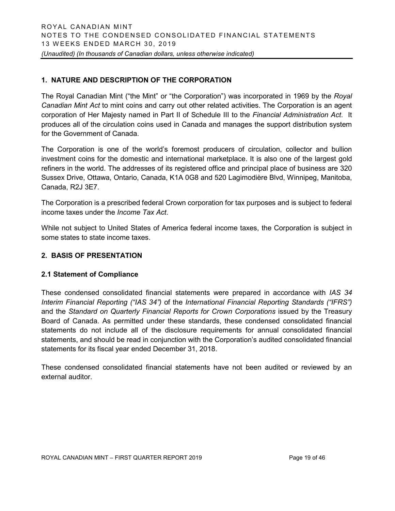# **1. NATURE AND DESCRIPTION OF THE CORPORATION**

The Royal Canadian Mint ("the Mint" or "the Corporation") was incorporated in 1969 by the *Royal Canadian Mint Act* to mint coins and carry out other related activities. The Corporation is an agent corporation of Her Majesty named in Part II of Schedule III to the *Financial Administration Act*. It produces all of the circulation coins used in Canada and manages the support distribution system for the Government of Canada.

The Corporation is one of the world's foremost producers of circulation, collector and bullion investment coins for the domestic and international marketplace. It is also one of the largest gold refiners in the world. The addresses of its registered office and principal place of business are 320 Sussex Drive, Ottawa, Ontario, Canada, K1A 0G8 and 520 Lagimodière Blvd, Winnipeg, Manitoba, Canada, R2J 3E7.

The Corporation is a prescribed federal Crown corporation for tax purposes and is subject to federal income taxes under the *Income Tax Act*.

While not subject to United States of America federal income taxes, the Corporation is subject in some states to state income taxes.

# **2. BASIS OF PRESENTATION**

# **2.1 Statement of Compliance**

These condensed consolidated financial statements were prepared in accordance with *IAS 34 Interim Financial Reporting ("IAS 34")* of the *International Financial Reporting Standards ("IFRS")* and the *Standard on Quarterly Financial Reports for Crown Corporations* issued by the Treasury Board of Canada. As permitted under these standards, these condensed consolidated financial statements do not include all of the disclosure requirements for annual consolidated financial statements, and should be read in conjunction with the Corporation's audited consolidated financial statements for its fiscal year ended December 31, 2018.

These condensed consolidated financial statements have not been audited or reviewed by an external auditor.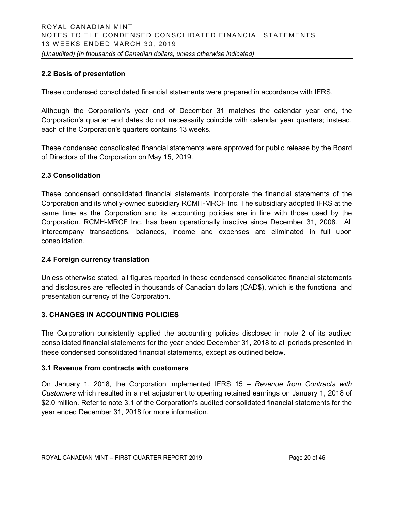# **2.2 Basis of presentation**

These condensed consolidated financial statements were prepared in accordance with IFRS.

Although the Corporation's year end of December 31 matches the calendar year end, the Corporation's quarter end dates do not necessarily coincide with calendar year quarters; instead, each of the Corporation's quarters contains 13 weeks.

These condensed consolidated financial statements were approved for public release by the Board of Directors of the Corporation on May 15, 2019.

# **2.3 Consolidation**

These condensed consolidated financial statements incorporate the financial statements of the Corporation and its wholly-owned subsidiary RCMH-MRCF Inc. The subsidiary adopted IFRS at the same time as the Corporation and its accounting policies are in line with those used by the Corporation. RCMH-MRCF Inc. has been operationally inactive since December 31, 2008. All intercompany transactions, balances, income and expenses are eliminated in full upon consolidation.

# **2.4 Foreign currency translation**

Unless otherwise stated, all figures reported in these condensed consolidated financial statements and disclosures are reflected in thousands of Canadian dollars (CAD\$), which is the functional and presentation currency of the Corporation.

# **3. CHANGES IN ACCOUNTING POLICIES**

The Corporation consistently applied the accounting policies disclosed in note 2 of its audited consolidated financial statements for the year ended December 31, 2018 to all periods presented in these condensed consolidated financial statements, except as outlined below.

# **3.1 Revenue from contracts with customers**

On January 1, 2018, the Corporation implemented IFRS 15 – *Revenue from Contracts with Customers* which resulted in a net adjustment to opening retained earnings on January 1, 2018 of \$2.0 million. Refer to note 3.1 of the Corporation's audited consolidated financial statements for the year ended December 31, 2018 for more information.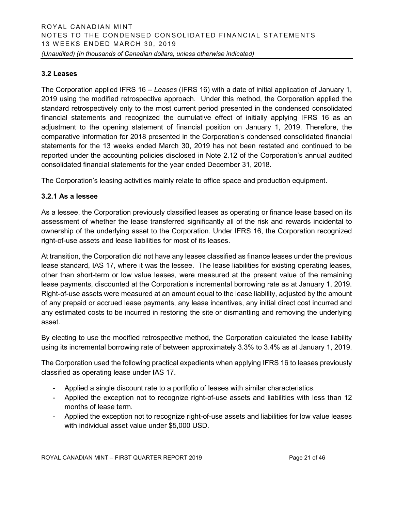# **3.2 Leases**

The Corporation applied IFRS 16 – *Leases* (IFRS 16) with a date of initial application of January 1, 2019 using the modified retrospective approach. Under this method, the Corporation applied the standard retrospectively only to the most current period presented in the condensed consolidated financial statements and recognized the cumulative effect of initially applying IFRS 16 as an adjustment to the opening statement of financial position on January 1, 2019. Therefore, the comparative information for 2018 presented in the Corporation's condensed consolidated financial statements for the 13 weeks ended March 30, 2019 has not been restated and continued to be reported under the accounting policies disclosed in Note 2.12 of the Corporation's annual audited consolidated financial statements for the year ended December 31, 2018.

The Corporation's leasing activities mainly relate to office space and production equipment.

# **3.2.1 As a lessee**

As a lessee, the Corporation previously classified leases as operating or finance lease based on its assessment of whether the lease transferred significantly all of the risk and rewards incidental to ownership of the underlying asset to the Corporation. Under IFRS 16, the Corporation recognized right-of-use assets and lease liabilities for most of its leases.

At transition, the Corporation did not have any leases classified as finance leases under the previous lease standard, IAS 17, where it was the lessee. The lease liabilities for existing operating leases, other than short-term or low value leases, were measured at the present value of the remaining lease payments, discounted at the Corporation's incremental borrowing rate as at January 1, 2019. Right-of-use assets were measured at an amount equal to the lease liability, adjusted by the amount of any prepaid or accrued lease payments, any lease incentives, any initial direct cost incurred and any estimated costs to be incurred in restoring the site or dismantling and removing the underlying asset.

By electing to use the modified retrospective method, the Corporation calculated the lease liability using its incremental borrowing rate of between approximately 3.3% to 3.4% as at January 1, 2019.

The Corporation used the following practical expedients when applying IFRS 16 to leases previously classified as operating lease under IAS 17.

- Applied a single discount rate to a portfolio of leases with similar characteristics.
- Applied the exception not to recognize right-of-use assets and liabilities with less than 12 months of lease term.
- Applied the exception not to recognize right-of-use assets and liabilities for low value leases with individual asset value under \$5,000 USD.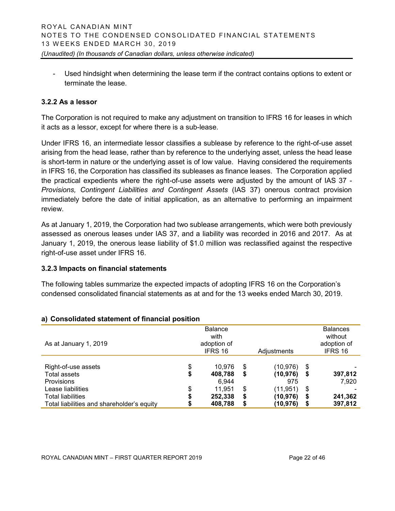- Used hindsight when determining the lease term if the contract contains options to extent or terminate the lease.

# **3.2.2 As a lessor**

The Corporation is not required to make any adjustment on transition to IFRS 16 for leases in which it acts as a lessor, except for where there is a sub-lease.

Under IFRS 16, an intermediate lessor classifies a sublease by reference to the right-of-use asset arising from the head lease, rather than by reference to the underlying asset, unless the head lease is short-term in nature or the underlying asset is of low value. Having considered the requirements in IFRS 16, the Corporation has classified its subleases as finance leases. The Corporation applied the practical expedients where the right-of-use assets were adjusted by the amount of IAS 37 - *Provisions, Contingent Liabilities and Contingent Assets* (IAS 37) onerous contract provision immediately before the date of initial application, as an alternative to performing an impairment review.

As at January 1, 2019, the Corporation had two sublease arrangements, which were both previously assessed as onerous leases under IAS 37, and a liability was recorded in 2016 and 2017. As at January 1, 2019, the onerous lease liability of \$1.0 million was reclassified against the respective right-of-use asset under IFRS 16.

# **3.2.3 Impacts on financial statements**

The following tables summarize the expected impacts of adopting IFRS 16 on the Corporation's condensed consolidated financial statements as at and for the 13 weeks ended March 30, 2019.

|                                            | <b>Balance</b> |    |             |    | <b>Balances</b> |
|--------------------------------------------|----------------|----|-------------|----|-----------------|
|                                            | with           |    |             |    | without         |
| As at January 1, 2019                      | adoption of    |    |             |    | adoption of     |
|                                            | IFRS 16        |    | Adjustments |    | IFRS 16         |
|                                            |                |    |             |    |                 |
| Right-of-use assets                        | \$<br>10.976   | \$ | (10,976)    | \$ |                 |
| Total assets                               | \$<br>408,788  | \$ | (10, 976)   | \$ | 397,812         |
| <b>Provisions</b>                          | 6.944          |    | 975         |    | 7,920           |
| Lease liabilities                          | \$<br>11.951   | \$ | (11,951)    | \$ |                 |
| <b>Total liabilities</b>                   | 252,338        | S  | (10, 976)   | S  | 241,362         |
| Total liabilities and shareholder's equity | 408,788        | S  | (10, 976)   | \$ | 397,812         |

# **a) Consolidated statement of financial position**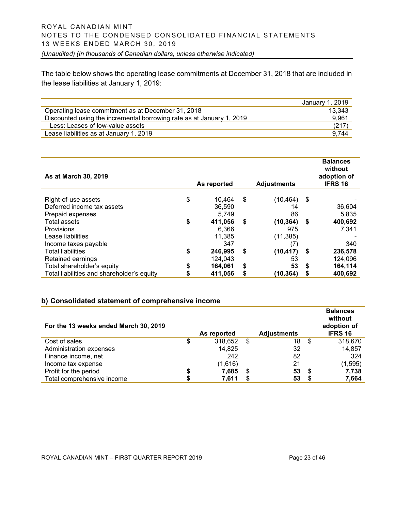The table below shows the operating lease commitments at December 31, 2018 that are included in the lease liabilities at January 1, 2019:

|                                                                       | January 1, 2019 |
|-----------------------------------------------------------------------|-----------------|
| Operating lease commitment as at December 31, 2018                    | 13.343          |
| Discounted using the incremental borrowing rate as at January 1, 2019 | 9.961           |
| Less: Leases of low-value assets                                      | (217)           |
| Lease liabilities as at January 1, 2019                               | 9.744           |

| As at March 30, 2019                             |             |    |                    |    | <b>Balances</b><br>without<br>adoption of |
|--------------------------------------------------|-------------|----|--------------------|----|-------------------------------------------|
|                                                  | As reported |    | <b>Adjustments</b> |    | <b>IFRS 16</b>                            |
| \$<br>Right-of-use assets                        | 10,464      | \$ | (10, 464)          | \$ |                                           |
| Deferred income tax assets                       | 36,590      |    | 14                 |    | 36,604                                    |
| Prepaid expenses                                 | 5,749       |    | 86                 |    | 5,835                                     |
| \$<br><b>Total assets</b>                        | 411,056     | S  | (10, 364)          | \$ | 400,692                                   |
| <b>Provisions</b>                                | 6.366       |    | 975                |    | 7.341                                     |
| Lease liabilities                                | 11,385      |    | (11, 385)          |    |                                           |
| Income taxes payable                             | 347         |    | (7)                |    | 340                                       |
| <b>Total liabilities</b><br>\$                   | 246,995     | S  | (10, 417)          | S  | 236,578                                   |
| Retained earnings                                | 124.043     |    | 53                 |    | 124.096                                   |
| \$<br>Total shareholder's equity                 | 164,061     | \$ | 53                 | S  | 164,114                                   |
| Total liabilities and shareholder's equity<br>\$ | 411,056     |    | (10, 364)          | \$ | 400,692                                   |

# **b) Consolidated statement of comprehensive income**

| For the 13 weeks ended March 30, 2019 |    | As reported |   | <b>Adjustments</b> |      | <b>Balances</b><br>without<br>adoption of<br><b>IFRS 16</b> |
|---------------------------------------|----|-------------|---|--------------------|------|-------------------------------------------------------------|
| Cost of sales                         | \$ | 318,652     | S | 18                 | - \$ | 318,670                                                     |
| Administration expenses               |    | 14,825      |   | 32                 |      | 14,857                                                      |
| Finance income, net                   |    | 242         |   | 82                 |      | 324                                                         |
| Income tax expense                    |    | (1,616)     |   | 21                 |      | (1, 595)                                                    |
| Profit for the period                 | S  | 7,685       | S | 53                 | S.   | 7,738                                                       |
| Total comprehensive income            |    | 7,611       |   | 53                 |      | 7,664                                                       |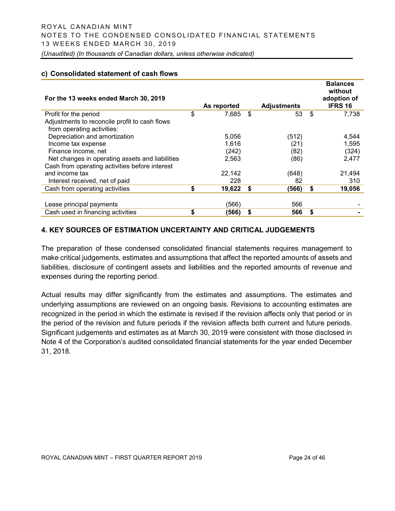#### **c) Consolidated statement of cash flows**

| For the 13 weeks ended March 30, 2019           |                 |                    |    | <b>Balances</b><br>without<br>adoption of |
|-------------------------------------------------|-----------------|--------------------|----|-------------------------------------------|
|                                                 | As reported     | <b>Adjustments</b> |    | <b>IFRS 16</b>                            |
| Profit for the period                           | \$<br>7,685 \$  | 53                 | \$ | 7,738                                     |
| Adjustments to reconcile profit to cash flows   |                 |                    |    |                                           |
| from operating activities:                      |                 |                    |    |                                           |
| Depreciation and amortization                   | 5,056           | (512)              |    | 4,544                                     |
| Income tax expense                              | 1,616           | (21)               |    | 1,595                                     |
| Finance income, net                             | (242)           | (82)               |    | (324)                                     |
| Net changes in operating assets and liabilities | 2,563           | (86)               |    | 2,477                                     |
| Cash from operating activities before interest  |                 |                    |    |                                           |
| and income tax                                  | 22,142          | (648)              |    | 21,494                                    |
| Interest received, net of paid                  | 228             | 82                 |    | 310                                       |
| Cash from operating activities                  | \$<br>19,622 \$ | (566)              | -S | 19,056                                    |
|                                                 |                 |                    |    |                                           |
| Lease principal payments                        | (566)           | 566                |    |                                           |
| Cash used in financing activities               | \$<br>(566)     | \$<br>566          | \$ |                                           |

# **4. KEY SOURCES OF ESTIMATION UNCERTAINTY AND CRITICAL JUDGEMENTS**

The preparation of these condensed consolidated financial statements requires management to make critical judgements, estimates and assumptions that affect the reported amounts of assets and liabilities, disclosure of contingent assets and liabilities and the reported amounts of revenue and expenses during the reporting period.

Actual results may differ significantly from the estimates and assumptions. The estimates and underlying assumptions are reviewed on an ongoing basis. Revisions to accounting estimates are recognized in the period in which the estimate is revised if the revision affects only that period or in the period of the revision and future periods if the revision affects both current and future periods. Significant judgements and estimates as at March 30, 2019 were consistent with those disclosed in Note 4 of the Corporation's audited consolidated financial statements for the year ended December 31, 2018.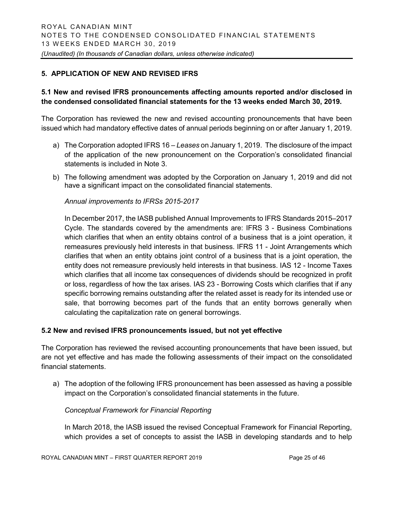# **5. APPLICATION OF NEW AND REVISED IFRS**

# **5.1 New and revised IFRS pronouncements affecting amounts reported and/or disclosed in the condensed consolidated financial statements for the 13 weeks ended March 30, 2019.**

The Corporation has reviewed the new and revised accounting pronouncements that have been issued which had mandatory effective dates of annual periods beginning on or after January 1, 2019.

- a) The Corporation adopted IFRS 16 *Leases* on January 1, 2019. The disclosure of the impact of the application of the new pronouncement on the Corporation's consolidated financial statements is included in Note 3.
- b) The following amendment was adopted by the Corporation on January 1, 2019 and did not have a significant impact on the consolidated financial statements.

#### *Annual improvements to IFRSs 2015-2017*

In December 2017, the IASB published Annual Improvements to IFRS Standards 2015–2017 Cycle. The standards covered by the amendments are: IFRS 3 - Business Combinations which clarifies that when an entity obtains control of a business that is a joint operation, it remeasures previously held interests in that business. IFRS 11 - Joint Arrangements which clarifies that when an entity obtains joint control of a business that is a joint operation, the entity does not remeasure previously held interests in that business. IAS 12 - Income Taxes which clarifies that all income tax consequences of dividends should be recognized in profit or loss, regardless of how the tax arises. IAS 23 - Borrowing Costs which clarifies that if any specific borrowing remains outstanding after the related asset is ready for its intended use or sale, that borrowing becomes part of the funds that an entity borrows generally when calculating the capitalization rate on general borrowings.

# **5.2 New and revised IFRS pronouncements issued, but not yet effective**

The Corporation has reviewed the revised accounting pronouncements that have been issued, but are not yet effective and has made the following assessments of their impact on the consolidated financial statements.

a) The adoption of the following IFRS pronouncement has been assessed as having a possible impact on the Corporation's consolidated financial statements in the future.

#### *Conceptual Framework for Financial Reporting*

In March 2018, the IASB issued the revised Conceptual Framework for Financial Reporting, which provides a set of concepts to assist the IASB in developing standards and to help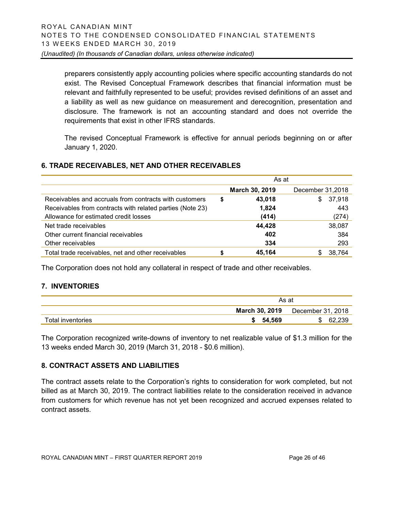preparers consistently apply accounting policies where specific accounting standards do not exist. The Revised Conceptual Framework describes that financial information must be relevant and faithfully represented to be useful; provides revised definitions of an asset and a liability as well as new guidance on measurement and derecognition, presentation and disclosure. The framework is not an accounting standard and does not override the requirements that exist in other IFRS standards.

The revised Conceptual Framework is effective for annual periods beginning on or after January 1, 2020.

# **6. TRADE RECEIVABLES, NET AND OTHER RECEIVABLES**

|                                                           | As at |                |                  |  |  |  |
|-----------------------------------------------------------|-------|----------------|------------------|--|--|--|
|                                                           |       | March 30, 2019 | December 31,2018 |  |  |  |
| Receivables and accruals from contracts with customers    | S     | 43,018         | 37,918<br>\$     |  |  |  |
| Receivables from contracts with related parties (Note 23) |       | 1,824          | 443              |  |  |  |
| Allowance for estimated credit losses                     |       | (414)          | (274)            |  |  |  |
| Net trade receivables                                     |       | 44,428         | 38,087           |  |  |  |
| Other current financial receivables                       |       | 402            | 384              |  |  |  |
| Other receivables                                         |       | 334            | 293              |  |  |  |
| Total trade receivables, net and other receivables        |       | 45.164         | 38.764           |  |  |  |

The Corporation does not hold any collateral in respect of trade and other receivables.

# **7. INVENTORIES**

|                   | As at          |                   |  |  |  |
|-------------------|----------------|-------------------|--|--|--|
|                   | March 30, 2019 | December 31, 2018 |  |  |  |
| Total inventories | 54.569         | ାନ୍ତ ୨୨୯          |  |  |  |

The Corporation recognized write-downs of inventory to net realizable value of \$1.3 million for the 13 weeks ended March 30, 2019 (March 31, 2018 - \$0.6 million).

# **8. CONTRACT ASSETS AND LIABILITIES**

The contract assets relate to the Corporation's rights to consideration for work completed, but not billed as at March 30, 2019. The contract liabilities relate to the consideration received in advance from customers for which revenue has not yet been recognized and accrued expenses related to contract assets.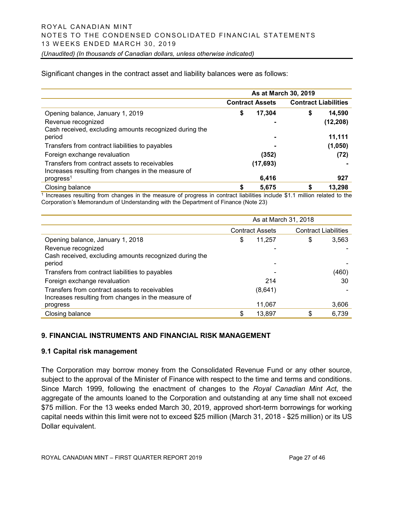Significant changes in the contract asset and liability balances were as follows:

|                                                                                                     | As at March 30, 2019 |                        |    |                             |  |  |  |
|-----------------------------------------------------------------------------------------------------|----------------------|------------------------|----|-----------------------------|--|--|--|
|                                                                                                     |                      | <b>Contract Assets</b> |    | <b>Contract Liabilities</b> |  |  |  |
| Opening balance, January 1, 2019                                                                    | \$                   | 17,304                 | \$ | 14,590                      |  |  |  |
| Revenue recognized                                                                                  |                      |                        |    | (12, 208)                   |  |  |  |
| Cash received, excluding amounts recognized during the<br>period                                    |                      |                        |    | 11,111                      |  |  |  |
| Transfers from contract liabilities to payables                                                     |                      |                        |    | (1,050)                     |  |  |  |
| Foreign exchange revaluation                                                                        |                      | (352)                  |    | (72)                        |  |  |  |
| Transfers from contract assets to receivables<br>Increases resulting from changes in the measure of |                      | (17, 693)              |    |                             |  |  |  |
| progress <sup>1</sup>                                                                               |                      | 6,416                  |    | 927                         |  |  |  |
| Closing balance                                                                                     | \$                   | 5,675                  |    | 13,298                      |  |  |  |

<sup>1</sup> Increases resulting from changes in the measure of progress in contract liabilities include \$1.1 million related to the Corporation's Memorandum of Understanding with the Department of Finance (Note 23)

|                                                        | As at March 31, 2018 |                        |                             |       |  |  |  |
|--------------------------------------------------------|----------------------|------------------------|-----------------------------|-------|--|--|--|
|                                                        |                      | <b>Contract Assets</b> | <b>Contract Liabilities</b> |       |  |  |  |
| Opening balance, January 1, 2018                       | \$                   | 11,257                 | \$                          | 3,563 |  |  |  |
| Revenue recognized                                     |                      |                        |                             |       |  |  |  |
| Cash received, excluding amounts recognized during the |                      |                        |                             |       |  |  |  |
| period                                                 |                      |                        |                             |       |  |  |  |
| Transfers from contract liabilities to payables        |                      |                        |                             | (460) |  |  |  |
| Foreign exchange revaluation                           |                      | 214                    |                             | 30    |  |  |  |
| Transfers from contract assets to receivables          |                      | (8,641)                |                             |       |  |  |  |
| Increases resulting from changes in the measure of     |                      |                        |                             |       |  |  |  |
| progress                                               |                      | 11,067                 |                             | 3,606 |  |  |  |
| Closing balance                                        | \$                   | 13,897                 | \$                          | 6,739 |  |  |  |

# **9. FINANCIAL INSTRUMENTS AND FINANCIAL RISK MANAGEMENT**

#### **9.1 Capital risk management**

The Corporation may borrow money from the Consolidated Revenue Fund or any other source, subject to the approval of the Minister of Finance with respect to the time and terms and conditions. Since March 1999, following the enactment of changes to the *Royal Canadian Mint Act*, the aggregate of the amounts loaned to the Corporation and outstanding at any time shall not exceed \$75 million. For the 13 weeks ended March 30, 2019, approved short-term borrowings for working capital needs within this limit were not to exceed \$25 million (March 31, 2018 - \$25 million) or its US Dollar equivalent.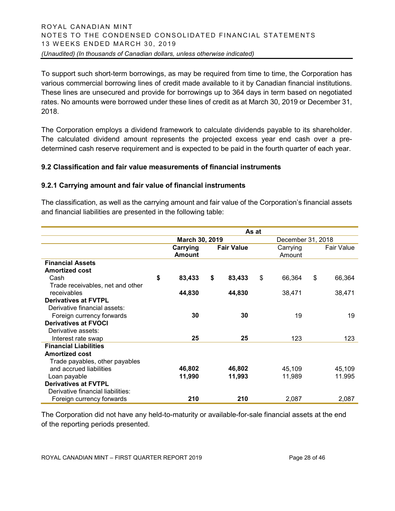To support such short-term borrowings, as may be required from time to time, the Corporation has various commercial borrowing lines of credit made available to it by Canadian financial institutions. These lines are unsecured and provide for borrowings up to 364 days in term based on negotiated rates. No amounts were borrowed under these lines of credit as at March 30, 2019 or December 31, 2018.

The Corporation employs a dividend framework to calculate dividends payable to its shareholder. The calculated dividend amount represents the projected excess year end cash over a predetermined cash reserve requirement and is expected to be paid in the fourth quarter of each year.

# **9.2 Classification and fair value measurements of financial instruments**

# **9.2.1 Carrying amount and fair value of financial instruments**

The classification, as well as the carrying amount and fair value of the Corporation's financial assets and financial liabilities are presented in the following table:

|                                   | As at |                           |    |                   |    |                    |                   |
|-----------------------------------|-------|---------------------------|----|-------------------|----|--------------------|-------------------|
|                                   |       | March 30, 2019            |    |                   |    | December 31, 2018  |                   |
|                                   |       | Carrying<br><b>Amount</b> |    | <b>Fair Value</b> |    | Carrying<br>Amount | <b>Fair Value</b> |
| <b>Financial Assets</b>           |       |                           |    |                   |    |                    |                   |
| <b>Amortized cost</b>             |       |                           |    |                   |    |                    |                   |
| Cash                              | \$    | 83,433                    | \$ | 83,433            | \$ | 66,364             | \$<br>66,364      |
| Trade receivables, net and other  |       |                           |    |                   |    |                    |                   |
| receivables                       |       | 44,830                    |    | 44,830            |    | 38,471             | 38,471            |
| <b>Derivatives at FVTPL</b>       |       |                           |    |                   |    |                    |                   |
| Derivative financial assets:      |       |                           |    |                   |    |                    |                   |
| Foreign currency forwards         |       | 30                        |    | 30                |    | 19                 | 19                |
| <b>Derivatives at FVOCI</b>       |       |                           |    |                   |    |                    |                   |
| Derivative assets:                |       |                           |    |                   |    |                    |                   |
| Interest rate swap                |       | 25                        |    | 25                |    | 123                | 123               |
| <b>Financial Liabilities</b>      |       |                           |    |                   |    |                    |                   |
| <b>Amortized cost</b>             |       |                           |    |                   |    |                    |                   |
| Trade payables, other payables    |       |                           |    |                   |    |                    |                   |
| and accrued liabilities           |       | 46,802                    |    | 46,802            |    | 45,109             | 45,109            |
| Loan payable                      |       | 11,990                    |    | 11,993            |    | 11,989             | 11.995            |
| <b>Derivatives at FVTPL</b>       |       |                           |    |                   |    |                    |                   |
| Derivative financial liabilities: |       |                           |    |                   |    |                    |                   |
| Foreign currency forwards         |       | 210                       |    | 210               |    | 2,087              | 2,087             |

The Corporation did not have any held-to-maturity or available-for-sale financial assets at the end of the reporting periods presented.

ROYAL CANADIAN MINT – FIRST QUARTER REPORT 2019 Page 28 of 46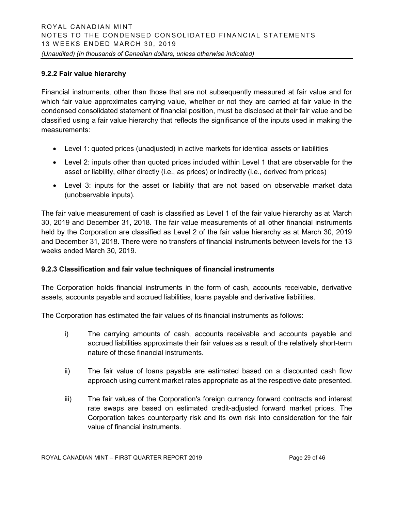# **9.2.2 Fair value hierarchy**

Financial instruments, other than those that are not subsequently measured at fair value and for which fair value approximates carrying value, whether or not they are carried at fair value in the condensed consolidated statement of financial position, must be disclosed at their fair value and be classified using a fair value hierarchy that reflects the significance of the inputs used in making the measurements:

- Level 1: quoted prices (unadjusted) in active markets for identical assets or liabilities
- Level 2: inputs other than quoted prices included within Level 1 that are observable for the asset or liability, either directly (i.e., as prices) or indirectly (i.e., derived from prices)
- Level 3: inputs for the asset or liability that are not based on observable market data (unobservable inputs).

The fair value measurement of cash is classified as Level 1 of the fair value hierarchy as at March 30, 2019 and December 31, 2018. The fair value measurements of all other financial instruments held by the Corporation are classified as Level 2 of the fair value hierarchy as at March 30, 2019 and December 31, 2018. There were no transfers of financial instruments between levels for the 13 weeks ended March 30, 2019.

# **9.2.3 Classification and fair value techniques of financial instruments**

The Corporation holds financial instruments in the form of cash, accounts receivable, derivative assets, accounts payable and accrued liabilities, loans payable and derivative liabilities.

The Corporation has estimated the fair values of its financial instruments as follows:

- i) The carrying amounts of cash, accounts receivable and accounts payable and accrued liabilities approximate their fair values as a result of the relatively short-term nature of these financial instruments.
- ii) The fair value of loans payable are estimated based on a discounted cash flow approach using current market rates appropriate as at the respective date presented.
- iii) The fair values of the Corporation's foreign currency forward contracts and interest rate swaps are based on estimated credit-adjusted forward market prices. The Corporation takes counterparty risk and its own risk into consideration for the fair value of financial instruments.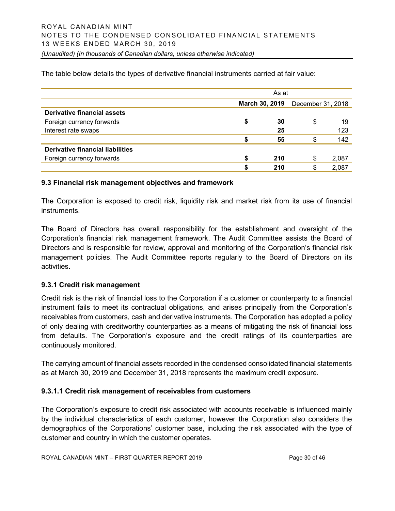As at **March 30, 2019** December 31, 2018 **Derivative financial assets** Foreign currency forwards **\$ 30** \$ 19 Interest rate swaps **25** 123 **\$ 55** \$ 142 **Derivative financial liabilities** Foreign currency forwards **\$ 210** \$ 2,087 **\$ 210** \$ 2,087

The table below details the types of derivative financial instruments carried at fair value:

#### **9.3 Financial risk management objectives and framework**

The Corporation is exposed to credit risk, liquidity risk and market risk from its use of financial instruments.

The Board of Directors has overall responsibility for the establishment and oversight of the Corporation's financial risk management framework. The Audit Committee assists the Board of Directors and is responsible for review, approval and monitoring of the Corporation's financial risk management policies. The Audit Committee reports regularly to the Board of Directors on its activities.

#### **9.3.1 Credit risk management**

Credit risk is the risk of financial loss to the Corporation if a customer or counterparty to a financial instrument fails to meet its contractual obligations, and arises principally from the Corporation's receivables from customers, cash and derivative instruments. The Corporation has adopted a policy of only dealing with creditworthy counterparties as a means of mitigating the risk of financial loss from defaults. The Corporation's exposure and the credit ratings of its counterparties are continuously monitored.

The carrying amount of financial assets recorded in the condensed consolidated financial statements as at March 30, 2019 and December 31, 2018 represents the maximum credit exposure.

# **9.3.1.1 Credit risk management of receivables from customers**

The Corporation's exposure to credit risk associated with accounts receivable is influenced mainly by the individual characteristics of each customer, however the Corporation also considers the demographics of the Corporations' customer base, including the risk associated with the type of customer and country in which the customer operates.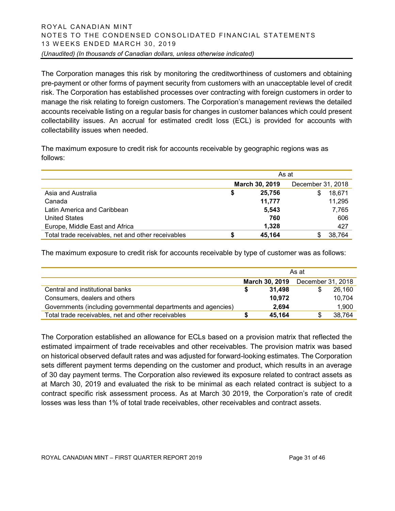The Corporation manages this risk by monitoring the creditworthiness of customers and obtaining pre-payment or other forms of payment security from customers with an unacceptable level of credit risk. The Corporation has established processes over contracting with foreign customers in order to manage the risk relating to foreign customers. The Corporation's management reviews the detailed accounts receivable listing on a regular basis for changes in customer balances which could present collectability issues. An accrual for estimated credit loss (ECL) is provided for accounts with collectability issues when needed.

The maximum exposure to credit risk for accounts receivable by geographic regions was as follows:

|                                                    | As at |                |                   |  |  |  |
|----------------------------------------------------|-------|----------------|-------------------|--|--|--|
|                                                    |       | March 30, 2019 | December 31, 2018 |  |  |  |
| Asia and Australia                                 | S     | 25.756         | 18,671<br>\$      |  |  |  |
| Canada                                             |       | 11,777         | 11,295            |  |  |  |
| Latin America and Caribbean                        |       | 5,543          | 7,765             |  |  |  |
| <b>United States</b>                               |       | 760            | 606               |  |  |  |
| Europe, Middle East and Africa                     |       | 1,328          | 427               |  |  |  |
| Total trade receivables, net and other receivables | S     | 45.164         | 38,764            |  |  |  |

The maximum exposure to credit risk for accounts receivable by type of customer was as follows:

|                                                               | As at |                |                   |        |
|---------------------------------------------------------------|-------|----------------|-------------------|--------|
|                                                               |       | March 30, 2019 | December 31, 2018 |        |
| Central and institutional banks                               |       | 31.498         |                   | 26.160 |
| Consumers, dealers and others                                 |       | 10,972         |                   | 10,704 |
| Governments (including governmental departments and agencies) |       | 2.694          |                   | 1,900  |
| Total trade receivables, net and other receivables            |       | 45,164         | S                 | 38,764 |

The Corporation established an allowance for ECLs based on a provision matrix that reflected the estimated impairment of trade receivables and other receivables. The provision matrix was based on historical observed default rates and was adjusted for forward-looking estimates. The Corporation sets different payment terms depending on the customer and product, which results in an average of 30 day payment terms. The Corporation also reviewed its exposure related to contract assets as at March 30, 2019 and evaluated the risk to be minimal as each related contract is subject to a contract specific risk assessment process. As at March 30 2019, the Corporation's rate of credit losses was less than 1% of total trade receivables, other receivables and contract assets.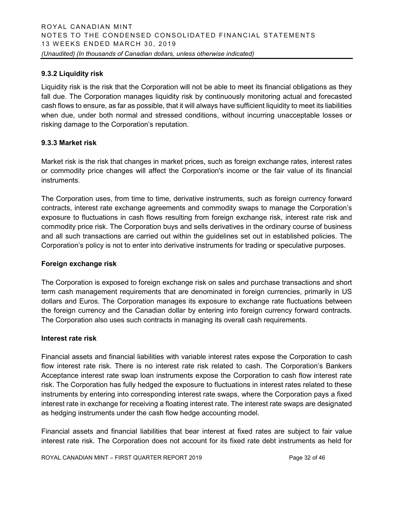# **9.3.2 Liquidity risk**

Liquidity risk is the risk that the Corporation will not be able to meet its financial obligations as they fall due. The Corporation manages liquidity risk by continuously monitoring actual and forecasted cash flows to ensure, as far as possible, that it will always have sufficient liquidity to meet its liabilities when due, under both normal and stressed conditions, without incurring unacceptable losses or risking damage to the Corporation's reputation.

# **9.3.3 Market risk**

Market risk is the risk that changes in market prices, such as foreign exchange rates, interest rates or commodity price changes will affect the Corporation's income or the fair value of its financial instruments.

The Corporation uses, from time to time, derivative instruments, such as foreign currency forward contracts, interest rate exchange agreements and commodity swaps to manage the Corporation's exposure to fluctuations in cash flows resulting from foreign exchange risk, interest rate risk and commodity price risk. The Corporation buys and sells derivatives in the ordinary course of business and all such transactions are carried out within the guidelines set out in established policies. The Corporation's policy is not to enter into derivative instruments for trading or speculative purposes.

# **Foreign exchange risk**

The Corporation is exposed to foreign exchange risk on sales and purchase transactions and short term cash management requirements that are denominated in foreign currencies, primarily in US dollars and Euros. The Corporation manages its exposure to exchange rate fluctuations between the foreign currency and the Canadian dollar by entering into foreign currency forward contracts. The Corporation also uses such contracts in managing its overall cash requirements.

# **Interest rate risk**

Financial assets and financial liabilities with variable interest rates expose the Corporation to cash flow interest rate risk. There is no interest rate risk related to cash. The Corporation's Bankers Acceptance interest rate swap loan instruments expose the Corporation to cash flow interest rate risk. The Corporation has fully hedged the exposure to fluctuations in interest rates related to these instruments by entering into corresponding interest rate swaps, where the Corporation pays a fixed interest rate in exchange for receiving a floating interest rate. The interest rate swaps are designated as hedging instruments under the cash flow hedge accounting model.

Financial assets and financial liabilities that bear interest at fixed rates are subject to fair value interest rate risk. The Corporation does not account for its fixed rate debt instruments as held for

ROYAL CANADIAN MINT – FIRST QUARTER REPORT 2019 Page 32 of 46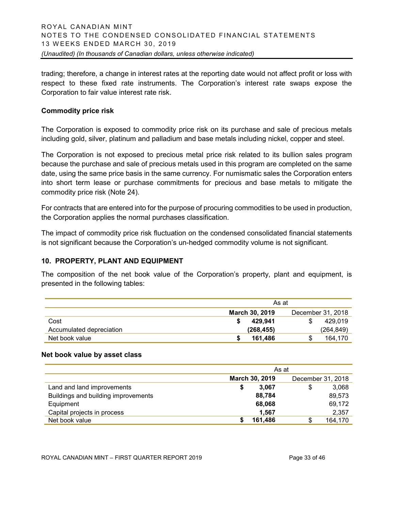trading; therefore, a change in interest rates at the reporting date would not affect profit or loss with respect to these fixed rate instruments. The Corporation's interest rate swaps expose the Corporation to fair value interest rate risk.

#### **Commodity price risk**

The Corporation is exposed to commodity price risk on its purchase and sale of precious metals including gold, silver, platinum and palladium and base metals including nickel, copper and steel.

The Corporation is not exposed to precious metal price risk related to its bullion sales program because the purchase and sale of precious metals used in this program are completed on the same date, using the same price basis in the same currency. For numismatic sales the Corporation enters into short term lease or purchase commitments for precious and base metals to mitigate the commodity price risk (Note 24).

For contracts that are entered into for the purpose of procuring commodities to be used in production, the Corporation applies the normal purchases classification.

The impact of commodity price risk fluctuation on the condensed consolidated financial statements is not significant because the Corporation's un-hedged commodity volume is not significant.

# **10. PROPERTY, PLANT AND EQUIPMENT**

The composition of the net book value of the Corporation's property, plant and equipment, is presented in the following tables:

|                          | As at                                      |            |  |  |
|--------------------------|--------------------------------------------|------------|--|--|
|                          | <b>March 30, 2019</b><br>December 31, 2018 |            |  |  |
| Cost                     | 429.941                                    | 429.019    |  |  |
| Accumulated depreciation | (268, 455)                                 | (264, 849) |  |  |
| Net book value           | 161.486                                    | 164.170    |  |  |

#### **Net book value by asset class**

|                                     | As at                 |                   |  |  |  |
|-------------------------------------|-----------------------|-------------------|--|--|--|
|                                     | <b>March 30, 2019</b> | December 31, 2018 |  |  |  |
| Land and land improvements          | 3.067<br>\$           | 3,068<br>S        |  |  |  |
| Buildings and building improvements | 88,784                | 89,573            |  |  |  |
| Equipment                           | 68,068                | 69,172            |  |  |  |
| Capital projects in process         | 1,567                 | 2,357             |  |  |  |
| Net book value                      | 161,486               | 164,170           |  |  |  |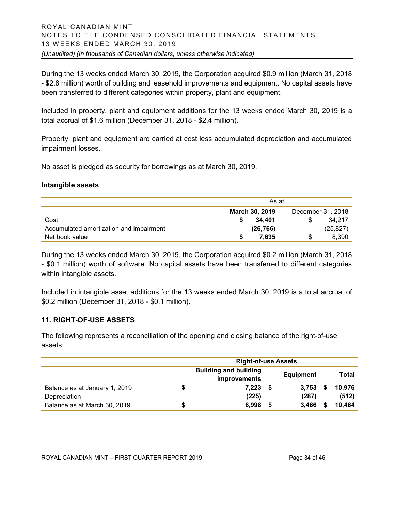During the 13 weeks ended March 30, 2019, the Corporation acquired \$0.9 million (March 31, 2018 - \$2.8 million) worth of building and leasehold improvements and equipment. No capital assets have been transferred to different categories within property, plant and equipment.

Included in property, plant and equipment additions for the 13 weeks ended March 30, 2019 is a total accrual of \$1.6 million (December 31, 2018 - \$2.4 million).

Property, plant and equipment are carried at cost less accumulated depreciation and accumulated impairment losses.

No asset is pledged as security for borrowings as at March 30, 2019.

#### **Intangible assets**

|                                         | As at                 |                   |
|-----------------------------------------|-----------------------|-------------------|
|                                         | <b>March 30, 2019</b> | December 31, 2018 |
| Cost                                    | 34.401                | 34.217            |
| Accumulated amortization and impairment | (26, 766)             | (25,827)          |
| Net book value                          | 7.635                 | 8.390             |

During the 13 weeks ended March 30, 2019, the Corporation acquired \$0.2 million (March 31, 2018 - \$0.1 million) worth of software. No capital assets have been transferred to different categories within intangible assets.

Included in intangible asset additions for the 13 weeks ended March 30, 2019 is a total accrual of \$0.2 million (December 31, 2018 - \$0.1 million).

# **11. RIGHT-OF-USE ASSETS**

The following represents a reconciliation of the opening and closing balance of the right-of-use assets:

|                               | <b>Right-of-use Assets</b>   |                  |       |              |        |  |  |
|-------------------------------|------------------------------|------------------|-------|--------------|--------|--|--|
|                               | <b>Building and building</b> | <b>Equipment</b> |       | <b>Total</b> |        |  |  |
|                               | improvements                 |                  |       |              |        |  |  |
| Balance as at January 1, 2019 | 7,223                        |                  | 3,753 | S            | 10.976 |  |  |
| Depreciation                  | (225)                        |                  | (287) |              | (512)  |  |  |
| Balance as at March 30, 2019  | 6.998                        |                  | 3,466 |              | 10.464 |  |  |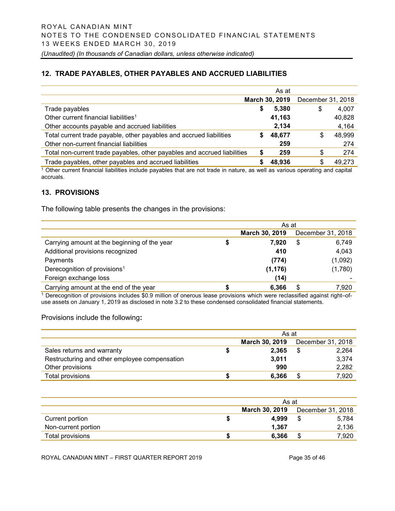# **12. TRADE PAYABLES, OTHER PAYABLES AND ACCRUED LIABILITIES**

|                                                                          |    | As at          |                   |        |
|--------------------------------------------------------------------------|----|----------------|-------------------|--------|
|                                                                          |    | March 30, 2019 | December 31, 2018 |        |
| Trade payables                                                           | \$ | 5,380          | \$                | 4,007  |
| Other current financial liabilities <sup>1</sup>                         |    | 41,163         |                   | 40,828 |
| Other accounts payable and accrued liabilities                           |    | 2,134          |                   | 4,164  |
| Total current trade payable, other payables and accrued liabilities      | S  | 48,677         | \$                | 48,999 |
| Other non-current financial liabilities                                  |    | 259            |                   | 274    |
| Total non-current trade payables, other payables and accrued liabilities | \$ | 259            | \$                | 274    |
| Trade payables, other payables and accrued liabilities                   | S  | 48,936         | \$                | 49,273 |
| $\sim$                                                                   |    |                |                   | . .    |

<sup>1</sup> Other current financial liabilities include payables that are not trade in nature, as well as various operating and capital accruals.

# **13. PROVISIONS**

The following table presents the changes in the provisions:

|                                              | As at |                |    |                   |  |
|----------------------------------------------|-------|----------------|----|-------------------|--|
|                                              |       | March 30, 2019 |    | December 31, 2018 |  |
| Carrying amount at the beginning of the year | 5     | 7.920          | \$ | 6,749             |  |
| Additional provisions recognized             |       | 410            |    | 4,043             |  |
| Payments                                     |       | (774)          |    | (1,092)           |  |
| Derecognition of provisions <sup>1</sup>     |       | (1, 176)       |    | (1,780)           |  |
| Foreign exchange loss                        |       | (14)           |    |                   |  |
| Carrying amount at the end of the year       |       | 6,366          |    | 7,920             |  |

<sup>1</sup> Derecognition of provisions includes \$0.9 million of onerous lease provisions which were reclassified against right–ofuse assets on January 1, 2019 as disclosed in note 3.2 to these condensed consolidated financial statements.

Provisions include the following**:**

|                                               | As at          |  |                   |  |  |
|-----------------------------------------------|----------------|--|-------------------|--|--|
|                                               | March 30, 2019 |  | December 31, 2018 |  |  |
| Sales returns and warranty                    | 2.365          |  | 2,264             |  |  |
| Restructuring and other employee compensation | 3,011          |  | 3,374             |  |  |
| Other provisions                              | 990            |  | 2,282             |  |  |
| Total provisions                              | 6.366          |  | 7,920             |  |  |

|                     |   | As at                                      |  |       |  |  |
|---------------------|---|--------------------------------------------|--|-------|--|--|
|                     |   | <b>March 30, 2019</b><br>December 31, 2018 |  |       |  |  |
| Current portion     |   | 4.999                                      |  | 5.784 |  |  |
| Non-current portion |   | 1,367                                      |  | 2,136 |  |  |
| Total provisions    | S | 6.366                                      |  | 7,920 |  |  |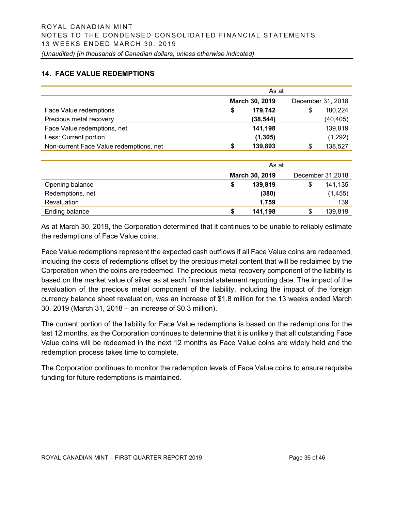# **14. FACE VALUE REDEMPTIONS**

|                                         |   | As at          |   |                   |
|-----------------------------------------|---|----------------|---|-------------------|
|                                         |   | March 30, 2019 |   | December 31, 2018 |
| Face Value redemptions                  | S | 179,742        | S | 180,224           |
| Precious metal recovery                 |   | (38, 544)      |   | (40, 405)         |
| Face Value redemptions, net             |   | 141,198        |   | 139,819           |
| Less: Current portion                   |   | (1, 305)       |   | (1,292)           |
| Non-current Face Value redemptions, net | S | 139,893        | S | 138,527           |

|                  |   | As at          |   |                  |
|------------------|---|----------------|---|------------------|
|                  |   | March 30, 2019 |   | December 31,2018 |
| Opening balance  | S | 139,819        | S | 141,135          |
| Redemptions, net |   | (380)          |   | (1, 455)         |
| Revaluation      |   | 1,759          |   | 139              |
| Ending balance   | S | 141,198        | S | 139,819          |

As at March 30, 2019, the Corporation determined that it continues to be unable to reliably estimate the redemptions of Face Value coins.

Face Value redemptions represent the expected cash outflows if all Face Value coins are redeemed, including the costs of redemptions offset by the precious metal content that will be reclaimed by the Corporation when the coins are redeemed. The precious metal recovery component of the liability is based on the market value of silver as at each financial statement reporting date. The impact of the revaluation of the precious metal component of the liability, including the impact of the foreign currency balance sheet revaluation, was an increase of \$1.8 million for the 13 weeks ended March 30, 2019 (March 31, 2018 – an increase of \$0.3 million).

The current portion of the liability for Face Value redemptions is based on the redemptions for the last 12 months, as the Corporation continues to determine that it is unlikely that all outstanding Face Value coins will be redeemed in the next 12 months as Face Value coins are widely held and the redemption process takes time to complete.

The Corporation continues to monitor the redemption levels of Face Value coins to ensure requisite funding for future redemptions is maintained.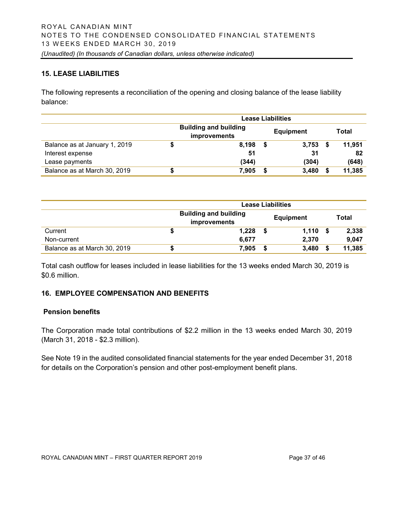# **15. LEASE LIABILITIES**

The following represents a reconciliation of the opening and closing balance of the lease liability balance:

|                               | Lease Liabilities |                                                     |   |                  |   |        |
|-------------------------------|-------------------|-----------------------------------------------------|---|------------------|---|--------|
|                               |                   | <b>Building and building</b><br><b>improvements</b> |   | <b>Equipment</b> |   | Total  |
| Balance as at January 1, 2019 | S                 | 8,198                                               |   | 3,753            |   | 11.951 |
| Interest expense              |                   | 51                                                  |   | 31               |   | 82     |
| Lease payments                |                   | (344)                                               |   | (304)            |   | (648)  |
| Balance as at March 30, 2019  | D.                | 7,905                                               | S | 3,480            | S | 11,385 |

|                              | <b>Lease Liabilities</b>                            |       |                  |       |    |        |
|------------------------------|-----------------------------------------------------|-------|------------------|-------|----|--------|
|                              | <b>Building and building</b><br><b>improvements</b> |       | <b>Equipment</b> |       |    | Total  |
| Current                      |                                                     | 1,228 |                  | 1,110 | S. | 2,338  |
| Non-current                  |                                                     | 6.677 |                  | 2.370 |    | 9.047  |
| Balance as at March 30, 2019 |                                                     | 7,905 |                  | 3,480 |    | 11,385 |

Total cash outflow for leases included in lease liabilities for the 13 weeks ended March 30, 2019 is \$0.6 million.

# **16. EMPLOYEE COMPENSATION AND BENEFITS**

# **Pension benefits**

The Corporation made total contributions of \$2.2 million in the 13 weeks ended March 30, 2019 (March 31, 2018 - \$2.3 million).

See Note 19 in the audited consolidated financial statements for the year ended December 31, 2018 for details on the Corporation's pension and other post-employment benefit plans.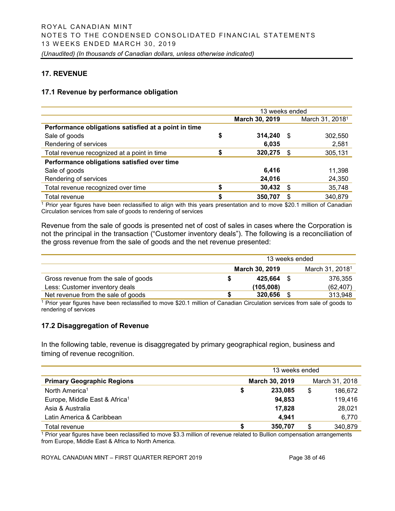# **17. REVENUE**

#### **17.1 Revenue by performance obligation**

|                                                      | 13 weeks ended |    |                             |  |  |  |
|------------------------------------------------------|----------------|----|-----------------------------|--|--|--|
|                                                      | March 30, 2019 |    | March 31, 2018 <sup>1</sup> |  |  |  |
| Performance obligations satisfied at a point in time |                |    |                             |  |  |  |
| Sale of goods                                        | \$<br>314,240  | -S | 302,550                     |  |  |  |
| Rendering of services                                | 6,035          |    | 2,581                       |  |  |  |
| Total revenue recognized at a point in time          | \$<br>320,275  | -S | 305,131                     |  |  |  |
| Performance obligations satisfied over time          |                |    |                             |  |  |  |
| Sale of goods                                        | 6,416          |    | 11,398                      |  |  |  |
| Rendering of services                                | 24,016         |    | 24,350                      |  |  |  |
| Total revenue recognized over time                   | 30,432         | S  | 35,748                      |  |  |  |
| Total revenue                                        | \$<br>350,707  | S  | 340,879                     |  |  |  |

<sup>1</sup> Prior year figures have been reclassified to align with this years presentation and to move \$20.1 million of Canadian Circulation services from sale of goods to rendering of services

Revenue from the sale of goods is presented net of cost of sales in cases where the Corporation is not the principal in the transaction ("Customer inventory deals"). The following is a reconciliation of the gross revenue from the sale of goods and the net revenue presented:

|                                      | 13 weeks ended |                |  |                             |  |  |  |
|--------------------------------------|----------------|----------------|--|-----------------------------|--|--|--|
|                                      |                | March 30, 2019 |  | March 31, 2018 <sup>1</sup> |  |  |  |
| Gross revenue from the sale of goods |                | 425.664        |  | 376,355                     |  |  |  |
| Less: Customer inventory deals       |                | (105,008)      |  | (62, 407)                   |  |  |  |
| Net revenue from the sale of goods   |                | 320,656        |  | 313,948                     |  |  |  |

<sup>1</sup> Prior year figures have been reclassified to move \$20.1 million of Canadian Circulation services from sale of goods to rendering of services

# **17.2 Disaggregation of Revenue**

In the following table, revenue is disaggregated by primary geographical region, business and timing of revenue recognition.

|                                           | 13 weeks ended |                |   |                |  |
|-------------------------------------------|----------------|----------------|---|----------------|--|
| <b>Primary Geographic Regions</b>         |                | March 30, 2019 |   | March 31, 2018 |  |
| North America <sup>1</sup>                | S              | 233,085        | S | 186.672        |  |
| Europe, Middle East & Africa <sup>1</sup> |                | 94,853         |   | 119,416        |  |
| Asia & Australia                          |                | 17,828         |   | 28,021         |  |
| Latin America & Caribbean                 |                | 4.941          |   | 6,770          |  |
| Total revenue                             |                | 350,707        | S | 340,879        |  |

 $1$  Prior year figures have been reclassified to move \$3.3 million of revenue related to Bullion compensation arrangements from Europe, Middle East & Africa to North America.

ROYAL CANADIAN MINT – FIRST QUARTER REPORT 2019 Page 38 of 46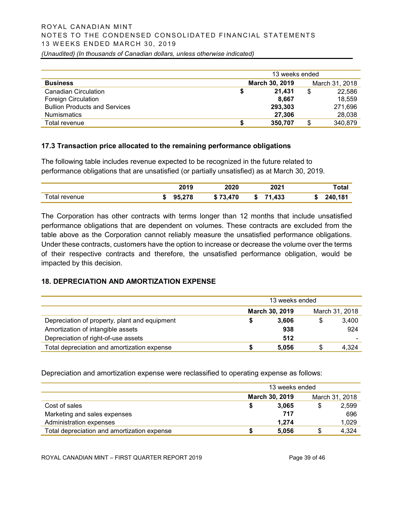# ROYAL CANADIAN MINT NOTES TO THE CONDENSED CONSOLIDATED FINANCIAL STATEMENTS 1 3 WEEKS ENDED MARCH 30, 2019

*(Unaudited) (In thousands of Canadian dollars, unless otherwise indicated)*

|                                      | 13 weeks ended |         |    |                |
|--------------------------------------|----------------|---------|----|----------------|
| <b>Business</b>                      | March 30, 2019 |         |    | March 31, 2018 |
| <b>Canadian Circulation</b>          |                | 21.431  | \$ | 22,586         |
| <b>Foreign Circulation</b>           |                | 8.667   |    | 18.559         |
| <b>Bullion Products and Services</b> |                | 293,303 |    | 271,696        |
| <b>Numismatics</b>                   |                | 27.306  |    | 28,038         |
| Total revenue                        |                | 350,707 | S  | 340,879        |

# **17.3 Transaction price allocated to the remaining performance obligations**

The following table includes revenue expected to be recognized in the future related to performance obligations that are unsatisfied (or partially unsatisfied) as at March 30, 2019.

|              | 7010   | 2020       | クハクイ<br>WZ       | ัota.   |
|--------------|--------|------------|------------------|---------|
| otal revenue | 95,278 | ,470<br>-0 | 433<br>74<br>-13 | 240,181 |

The Corporation has other contracts with terms longer than 12 months that include unsatisfied performance obligations that are dependent on volumes. These contracts are excluded from the table above as the Corporation cannot reliably measure the unsatisfied performance obligations. Under these contracts, customers have the option to increase or decrease the volume over the terms of their respective contracts and therefore, the unsatisfied performance obligation, would be impacted by this decision.

# **18. DEPRECIATION AND AMORTIZATION EXPENSE**

|                                               | 13 weeks ended |                |    |                |  |
|-----------------------------------------------|----------------|----------------|----|----------------|--|
|                                               |                | March 30, 2019 |    | March 31, 2018 |  |
| Depreciation of property, plant and equipment |                | 3.606          | \$ | 3,400          |  |
| Amortization of intangible assets             |                | 938            |    | 924            |  |
| Depreciation of right-of-use assets           |                | 512            |    |                |  |
| Total depreciation and amortization expense   |                | 5.056          |    | 4.324          |  |

Depreciation and amortization expense were reclassified to operating expense as follows:

|                                             | 13 weeks ended |                |   |                |  |
|---------------------------------------------|----------------|----------------|---|----------------|--|
|                                             |                | March 30, 2019 |   | March 31, 2018 |  |
| Cost of sales                               |                | 3.065          | S | 2,599          |  |
| Marketing and sales expenses                |                | 717            |   | 696            |  |
| Administration expenses                     |                | 1.274          |   | 1,029          |  |
| Total depreciation and amortization expense |                | 5.056          |   | 4,324          |  |

ROYAL CANADIAN MINT – FIRST QUARTER REPORT 2019 Page 39 of 46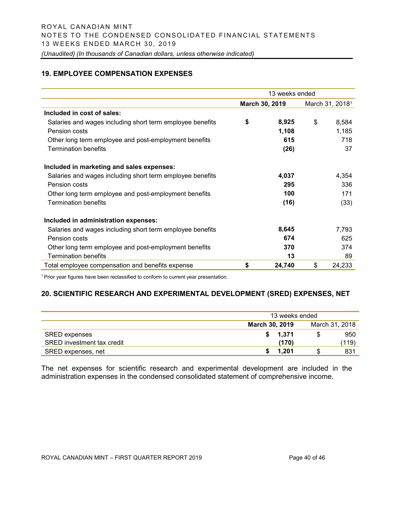# **19. EMPLOYEE COMPENSATION EXPENSES**

|                                                           | 13 weeks ended |                |    |                             |  |
|-----------------------------------------------------------|----------------|----------------|----|-----------------------------|--|
|                                                           |                | March 30, 2019 |    | March 31, 2018 <sup>1</sup> |  |
| Included in cost of sales:                                |                |                |    |                             |  |
| Salaries and wages including short term employee benefits | \$             | 8,925          | \$ | 8,584                       |  |
| Pension costs                                             |                | 1,108          |    | 1,185                       |  |
| Other long term employee and post-employment benefits     |                | 615            |    | 718                         |  |
| <b>Termination benefits</b>                               |                | (26)           |    | 37                          |  |
| Included in marketing and sales expenses:                 |                |                |    |                             |  |
| Salaries and wages including short term employee benefits |                | 4,037          |    | 4,354                       |  |
| Pension costs                                             |                | 295            |    | 336                         |  |
| Other long term employee and post-employment benefits     |                | 100            |    | 171                         |  |
| <b>Termination benefits</b>                               |                | (16)           |    | (33)                        |  |
| Included in administration expenses:                      |                |                |    |                             |  |
| Salaries and wages including short term employee benefits |                | 8,645          |    | 7,793                       |  |
| Pension costs                                             |                | 674            |    | 625                         |  |
| Other long term employee and post-employment benefits     |                | 370            |    | 374                         |  |
| <b>Termination benefits</b>                               |                | 13             |    | 89                          |  |
| Total employee compensation and benefits expense          | \$             | 24,740         | \$ | 24,233                      |  |

<sup>1</sup> Prior year figures have been reclassified to conform to current year presentation.

#### **20. SCIENTIFIC RESEARCH AND EXPERIMENTAL DEVELOPMENT (SRED) EXPENSES, NET**

|                            | 13 weeks ended                          |   |       |  |  |
|----------------------------|-----------------------------------------|---|-------|--|--|
|                            | March 31, 2018<br><b>March 30, 2019</b> |   |       |  |  |
| <b>SRED</b> expenses       | 1,371                                   | S | 950   |  |  |
| SRED investment tax credit | (170)                                   |   | (119) |  |  |
| SRED expenses, net         | 1.201                                   |   | 831   |  |  |

The net expenses for scientific research and experimental development are included in the administration expenses in the condensed consolidated statement of comprehensive income.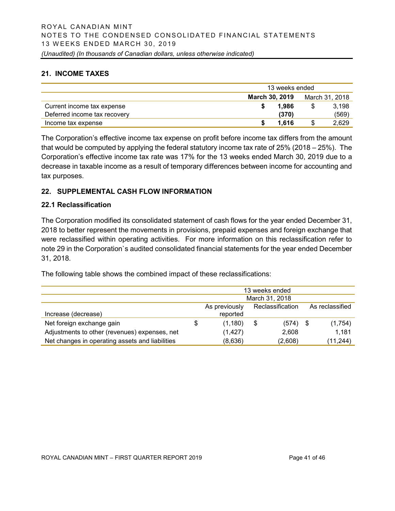# **21. INCOME TAXES**

|                              | 13 weeks ended        |                |  |       |  |  |  |
|------------------------------|-----------------------|----------------|--|-------|--|--|--|
|                              | <b>March 30, 2019</b> | March 31, 2018 |  |       |  |  |  |
| Current income tax expense   |                       | 1.986          |  | 3.198 |  |  |  |
| Deferred income tax recovery |                       | (370)          |  | (569) |  |  |  |
| Income tax expense           |                       | 1.616          |  | 2,629 |  |  |  |

The Corporation's effective income tax expense on profit before income tax differs from the amount that would be computed by applying the federal statutory income tax rate of 25% (2018 – 25%). The Corporation's effective income tax rate was 17% for the 13 weeks ended March 30, 2019 due to a decrease in taxable income as a result of temporary differences between income for accounting and tax purposes.

# **22. SUPPLEMENTAL CASH FLOW INFORMATION**

# **22.1 Reclassification**

The Corporation modified its consolidated statement of cash flows for the year ended December 31, 2018 to better represent the movements in provisions, prepaid expenses and foreign exchange that were reclassified within operating activities. For more information on this reclassification refer to note 29 in the Corporation`s audited consolidated financial statements for the year ended December 31, 2018.

The following table shows the combined impact of these reclassifications:

|                                                 | 13 weeks ended                                       |    |            |  |           |  |  |  |
|-------------------------------------------------|------------------------------------------------------|----|------------|--|-----------|--|--|--|
|                                                 | March 31, 2018                                       |    |            |  |           |  |  |  |
|                                                 | Reclassification<br>As reclassified<br>As previously |    |            |  |           |  |  |  |
| Increase (decrease)                             | reported                                             |    |            |  |           |  |  |  |
| Net foreign exchange gain                       | \$<br>(1,180)                                        | \$ | $(574)$ \$ |  | (1,754)   |  |  |  |
| Adjustments to other (revenues) expenses, net   | (1, 427)                                             |    | 2,608      |  | 1,181     |  |  |  |
| Net changes in operating assets and liabilities | (8,636)                                              |    | (2,608)    |  | (11, 244) |  |  |  |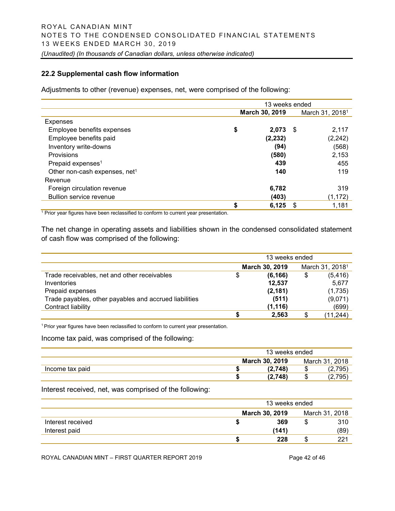# **22.2 Supplemental cash flow information**

Adjustments to other (revenue) expenses, net, were comprised of the following:

|                                           | 13 weeks ended |          |      |                             |  |  |  |
|-------------------------------------------|----------------|----------|------|-----------------------------|--|--|--|
|                                           | March 30, 2019 |          |      | March 31, 2018 <sup>1</sup> |  |  |  |
| <b>Expenses</b>                           |                |          |      |                             |  |  |  |
| Employee benefits expenses                | \$             | 2.073    | - \$ | 2,117                       |  |  |  |
| Employee benefits paid                    |                | (2, 232) |      | (2, 242)                    |  |  |  |
| Inventory write-downs                     |                | (94)     |      | (568)                       |  |  |  |
| Provisions                                |                | (580)    |      | 2,153                       |  |  |  |
| Prepaid expenses <sup>1</sup>             |                | 439      |      | 455                         |  |  |  |
| Other non-cash expenses, net <sup>1</sup> |                | 140      |      | 119                         |  |  |  |
| Revenue                                   |                |          |      |                             |  |  |  |
| Foreign circulation revenue               |                | 6,782    |      | 319                         |  |  |  |
| <b>Bullion service revenue</b>            |                | (403)    |      | (1, 172)                    |  |  |  |
|                                           | \$             | 6,125    | \$.  | 1,181                       |  |  |  |

<sup>1</sup> Prior year figures have been reclassified to conform to current year presentation.

The net change in operating assets and liabilities shown in the condensed consolidated statement of cash flow was comprised of the following:

|                                                        | 13 weeks ended |                |    |                             |  |  |  |
|--------------------------------------------------------|----------------|----------------|----|-----------------------------|--|--|--|
|                                                        |                | March 30, 2019 |    | March 31, 2018 <sup>1</sup> |  |  |  |
| Trade receivables, net and other receivables           | \$             | (6, 166)       | \$ | (5, 416)                    |  |  |  |
| Inventories                                            |                | 12,537         |    | 5,677                       |  |  |  |
| Prepaid expenses                                       |                | (2, 181)       |    | (1,735)                     |  |  |  |
| Trade payables, other payables and accrued liabilities |                | (511)          |    | (9,071)                     |  |  |  |
| Contract liability                                     |                | (1, 116)       |    | (699)                       |  |  |  |
|                                                        |                | 2.563          | \$ | (11,244)                    |  |  |  |

<sup>1</sup> Prior year figures have been reclassified to conform to current year presentation.

Income tax paid, was comprised of the following:

|                 | 13 weeks ended |   |                |  |  |
|-----------------|----------------|---|----------------|--|--|
|                 | March 30, 2019 |   | March 31, 2018 |  |  |
| Income tax paid | (2.748)        | Œ | 2,795          |  |  |
|                 | (2,748)        |   | (2,795)        |  |  |

Interest received, net, was comprised of the following:

|                   |                                  | 13 weeks ended |     |      |  |  |  |
|-------------------|----------------------------------|----------------|-----|------|--|--|--|
|                   | March 31, 2018<br>March 30, 2019 |                |     |      |  |  |  |
| Interest received |                                  | 369            | S   | 310  |  |  |  |
| Interest paid     |                                  | (141)          |     | (89) |  |  |  |
|                   |                                  | 228            | \$. | 221  |  |  |  |

ROYAL CANADIAN MINT – FIRST QUARTER REPORT 2019 Page 42 of 46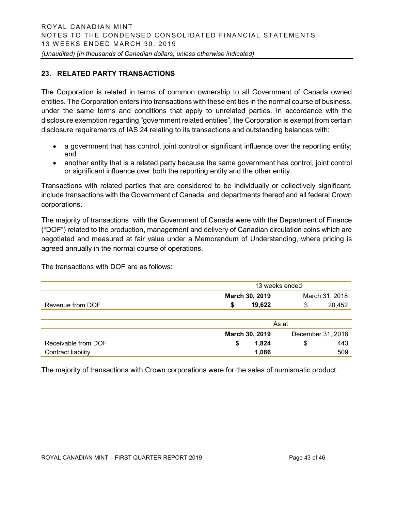# **23. RELATED PARTY TRANSACTIONS**

The Corporation is related in terms of common ownership to all Government of Canada owned entities. The Corporation enters into transactions with these entities in the normal course of business, under the same terms and conditions that apply to unrelated parties. In accordance with the disclosure exemption regarding "government related entities", the Corporation is exempt from certain disclosure requirements of IAS 24 relating to its transactions and outstanding balances with:

- a government that has control, joint control or significant influence over the reporting entity; and
- another entity that is a related party because the same government has control, joint control or significant influence over both the reporting entity and the other entity.

Transactions with related parties that are considered to be individually or collectively significant, include transactions with the Government of Canada, and departments thereof and all federal Crown corporations.

The majority of transactions with the Government of Canada were with the Department of Finance ("DOF") related to the production, management and delivery of Canadian circulation coins which are negotiated and measured at fair value under a Memorandum of Understanding, where pricing is agreed annually in the normal course of operations.

The transactions with DOF are as follows:

|                     | 13 weeks ended                      |                |  |  |  |  |  |
|---------------------|-------------------------------------|----------------|--|--|--|--|--|
|                     | March 30, 2019                      | March 31, 2018 |  |  |  |  |  |
| Revenue from DOF    | 19,622<br>S                         | 20,452<br>\$   |  |  |  |  |  |
|                     |                                     |                |  |  |  |  |  |
|                     | As at                               |                |  |  |  |  |  |
|                     | March 30, 2019<br>December 31, 2018 |                |  |  |  |  |  |
| Receivable from DOF | 1,824<br>S                          | 443<br>\$      |  |  |  |  |  |
| Contract liability  | 1,086                               | 509            |  |  |  |  |  |

The majority of transactions with Crown corporations were for the sales of numismatic product.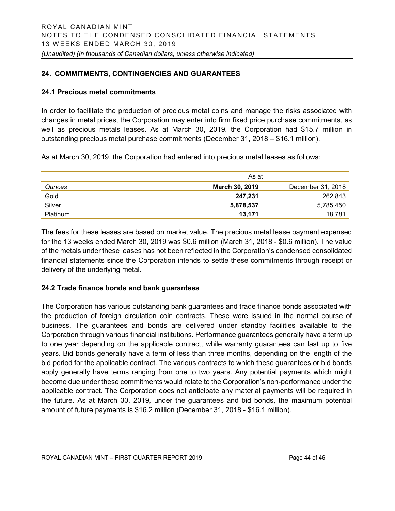# **24. COMMITMENTS, CONTINGENCIES AND GUARANTEES**

#### **24.1 Precious metal commitments**

In order to facilitate the production of precious metal coins and manage the risks associated with changes in metal prices, the Corporation may enter into firm fixed price purchase commitments, as well as precious metals leases. As at March 30, 2019, the Corporation had \$15.7 million in outstanding precious metal purchase commitments (December 31, 2018 – \$16.1 million).

As at March 30, 2019, the Corporation had entered into precious metal leases as follows:

|                 | As at                 |                   |
|-----------------|-----------------------|-------------------|
| <b>Ounces</b>   | <b>March 30, 2019</b> | December 31, 2018 |
| Gold            | 247.231               | 262,843           |
| Silver          | 5,878,537             | 5,785,450         |
| <b>Platinum</b> | 13,171                | 18.781            |

The fees for these leases are based on market value. The precious metal lease payment expensed for the 13 weeks ended March 30, 2019 was \$0.6 million (March 31, 2018 - \$0.6 million). The value of the metals under these leases has not been reflected in the Corporation's condensed consolidated financial statements since the Corporation intends to settle these commitments through receipt or delivery of the underlying metal.

# **24.2 Trade finance bonds and bank guarantees**

The Corporation has various outstanding bank guarantees and trade finance bonds associated with the production of foreign circulation coin contracts. These were issued in the normal course of business. The guarantees and bonds are delivered under standby facilities available to the Corporation through various financial institutions. Performance guarantees generally have a term up to one year depending on the applicable contract, while warranty guarantees can last up to five years. Bid bonds generally have a term of less than three months, depending on the length of the bid period for the applicable contract. The various contracts to which these guarantees or bid bonds apply generally have terms ranging from one to two years. Any potential payments which might become due under these commitments would relate to the Corporation's non-performance under the applicable contract. The Corporation does not anticipate any material payments will be required in the future. As at March 30, 2019, under the guarantees and bid bonds, the maximum potential amount of future payments is \$16.2 million (December 31, 2018 - \$16.1 million).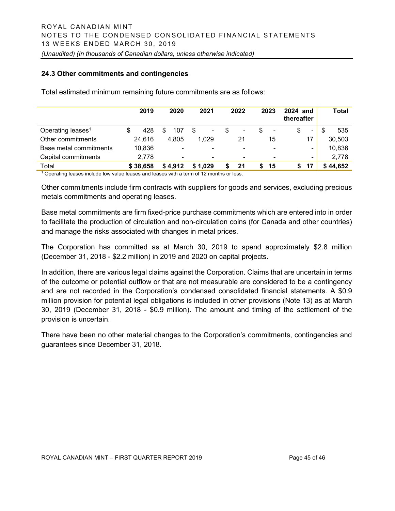#### **24.3 Other commitments and contingencies**

|                               | 2019      |   | 2020           | 2021                     |   | 2022                     |   | 2023           | 2024 and<br>thereafter |                | Total     |
|-------------------------------|-----------|---|----------------|--------------------------|---|--------------------------|---|----------------|------------------------|----------------|-----------|
| Operating leases <sup>1</sup> | \$<br>428 | S | 107            | \$<br>۰                  | S | ۰                        | S | ۰              | \$                     | ۰.             | \$<br>535 |
| Other commitments             | 24,616    |   | 4,805          | 1.029                    |   | 21                       |   | 15             |                        | 17             | 30,503    |
| Base metal commitments        | 10,836    |   | $\blacksquare$ | $\overline{\phantom{0}}$ |   | $\overline{\phantom{0}}$ |   | ۰              |                        | $\blacksquare$ | 10,836    |
| Capital commitments           | 2,778     |   | $\blacksquare$ | $\overline{\phantom{0}}$ |   | $\blacksquare$           |   | $\blacksquare$ |                        | $\blacksquare$ | 2,778     |
| Total                         | \$38,658  |   | \$4.912        | \$1.029                  |   | 21                       |   | 15             |                        | 17             | \$44,652  |

Total estimated minimum remaining future commitments are as follows:

<sup>1</sup> Operating leases include low value leases and leases with a term of 12 months or less.

Other commitments include firm contracts with suppliers for goods and services, excluding precious metals commitments and operating leases.

Base metal commitments are firm fixed-price purchase commitments which are entered into in order to facilitate the production of circulation and non-circulation coins (for Canada and other countries) and manage the risks associated with changes in metal prices.

The Corporation has committed as at March 30, 2019 to spend approximately \$2.8 million (December 31, 2018 - \$2.2 million) in 2019 and 2020 on capital projects.

In addition, there are various legal claims against the Corporation. Claims that are uncertain in terms of the outcome or potential outflow or that are not measurable are considered to be a contingency and are not recorded in the Corporation's condensed consolidated financial statements. A \$0.9 million provision for potential legal obligations is included in other provisions (Note 13) as at March 30, 2019 (December 31, 2018 - \$0.9 million). The amount and timing of the settlement of the provision is uncertain.

There have been no other material changes to the Corporation's commitments, contingencies and guarantees since December 31, 2018.